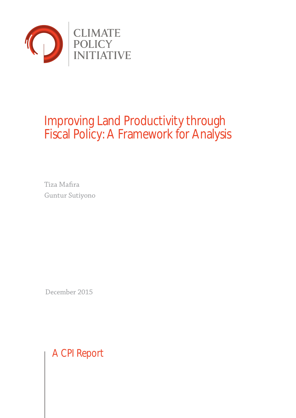

# Improving Land Productivity through Fiscal Policy: A Framework for Analysis

Tiza Mafira Guntur Sutiyono

December 2015

A CPI Report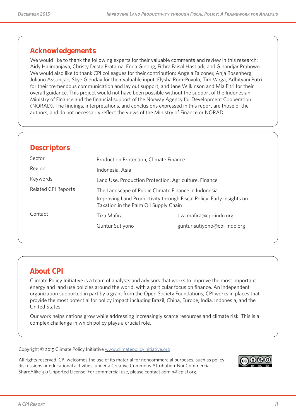# **Acknowledgements**

We would like to thank the following experts for their valuable comments and review in this research: Aidy Halimanjaya, Christy Desta Pratama, Enda Ginting, Fithra Faisal Hastiadi, and Ginandjar Prabowo. We would also like to thank CPI colleagues for their contribution: Angela Falconer, Anja Rosenberg, Juliano Assunção, Skye Glenday for their valuable input, Elysha Rom-Povolo, Tim Varga, Adhityani Putri for their tremendous communication and lay out support, and Jane Wilkinson and Mia Fitri for their overall guidance. This project would not have been possible without the support of the Indonesian Ministry of Finance and the financial support of the Norway Agency for Development Cooperation (NORAD). The findings, interpretations, and conclusions expressed in this report are those of the authors, and do not necessarily reflect the views of the Ministry of Finance or NORAD.

### **Descriptors**

| Sector                     | Production Protection, Climate Finance                                                                        |                              |  |  |  |  |
|----------------------------|---------------------------------------------------------------------------------------------------------------|------------------------------|--|--|--|--|
| Region                     | Indonesia, Asia                                                                                               |                              |  |  |  |  |
| Keywords                   | Land Use, Production Protection, Agriculture, Finance                                                         |                              |  |  |  |  |
| <b>Related CPI Reports</b> | The Landscape of Public Climate Finance in Indonesia                                                          |                              |  |  |  |  |
|                            | Improving Land Productivity through Fiscal Policy: Early Insights on<br>Taxation in the Palm Oil Supply Chain |                              |  |  |  |  |
| Contact                    | Tiza Mafira                                                                                                   | tiza.mafira@cpi-indo.org     |  |  |  |  |
|                            | Guntur Sutiyono                                                                                               | guntur.sutiyono@cpi-indo.org |  |  |  |  |
|                            |                                                                                                               |                              |  |  |  |  |

# **About CPI**

Climate Policy Initiative is a team of analysts and advisors that works to improve the most important energy and land use policies around the world, with a particular focus on finance. An independent organization supported in part by a grant from the Open Society Foundations, CPI works in places that provide the most potential for policy impact including Brazil, China, Europe, India, Indonesia, and the United States.

Our work helps nations grow while addressing increasingly scarce resources and climate risk. This is a complex challenge in which policy plays a crucial role.

Copyright © 2015 Climate Policy Initiative www.climatepolicyinitiative.org

All rights reserved. CPI welcomes the use of its material for noncommercial purposes, such as policy discussions or educational activities, under a Creative Commons Attribution-NonCommercial-ShareAlike 3.0 Unported License. For commercial use, please contact admin@cpisf.org.

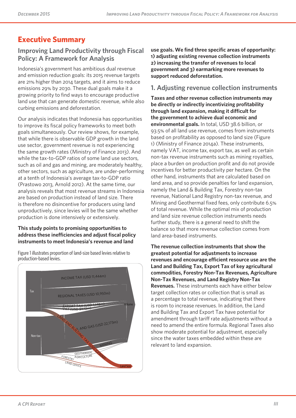# **Executive Summary**

# **Improving Land Productivity through Fiscal Policy: A Framework for Analysis**

Indonesia's government has ambitious dual revenue and emission reduction goals: its 2015 revenue targets are 21% higher than 2014 targets, and it aims to reduce emissions 29% by 2030. These dual goals make it a growing priority to find ways to encourage productive land use that can generate domestic revenue, while also curbing emissions and deforestation.

Our analysis indicates that Indonesia has opportunities to improve its fiscal policy frameworks to meet both goals simultaneously. Our review shows, for example, that while there is observable GDP growth in the land use sector, government revenue is not experiencing the same growth rates (Ministry of Finance 2013). And while the tax-to-GDP ratios of some land use sectors, such as oil and gas and mining, are moderately healthy, other sectors, such as agriculture, are under-performing at a tenth of Indonesia's average tax-to-GDP ratio (Prastowo 2013, Arnold 2012). At the same time, our analysis reveals that most revenue streams in Indonesia are based on production instead of land size. There is therefore no disincentive for producers using land unproductively, since levies will be the same whether production is done intensively or extensively.

#### **This study points to promising opportunities to address these inefficiencies and adjust fiscal policy instruments to meet Indonesia's revenue and land**

Figure 1 illustrates proportion of land-size based levies relative to production-based levies.



**use goals. We find three specific areas of opportunity: 1) adjusting existing revenue collection instruments 2) increasing the transfer of revenues to local government and 3) earmarking more revenues to support reduced deforestation.** 

### **1. Adjusting revenue collection instruments**

**Taxes and other revenue collection instruments may be directly or indirectly incentivizing profitability through land expansion, making it difficult for the government to achieve dual economic and environmental goals.** In total, USD 38.6 billion, or 93.5% of all land use revenue, comes from instruments based on profitability as opposed to land size (Figure 1) (Ministry of Finance 2014a). These instruments, namely VAT, income tax, export tax, as well as certain non-tax revenue instruments such as mining royalties, place a burden on production profit and do not provide incentives for better productivity per hectare. On the other hand, instruments that are calculated based on land area, and so provide penalties for land expansion, namely the Land & Building Tax, Forestry non-tax revenue, National Land Registry non-tax revenue, and Mining and Geothermal fixed fees, only contribute 6.5% of total revenue. While the optimal mix of production and land size revenue collection instruments needs further study, there is a general need to shift the balance so that more revenue collection comes from land area-based instruments.

**The revenue collection instruments that show the greatest potential for adjustments to increase revenues and encourage efficient resource use are the Land and Building Tax, Export Tax of key agricultural commodities, Forestry Non-Tax Revenues, Agriculture Non-Tax Revenues, and Land Registry Non-Tax Revenues.** These instruments each have either below target collection rates or collection that is small as a percentage to total revenue, indicating that there is room to increase revenues. In addition, the Land and Building Tax and Export Tax have potential for amendment through tariff rate adjustments without a need to amend the entire formula. Regional Taxes also show moderate potential for adjustment, especially since the water taxes embedded within these are relevant to land expansion.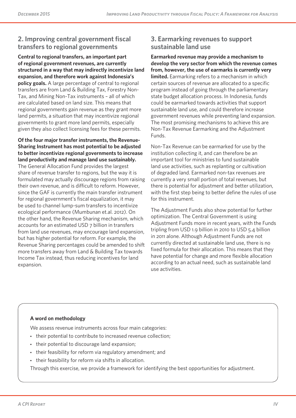### **2. Improving central government fiscal transfers to regional governments**

**Central to regional transfers, an important part of regional government revenues, are currently structured in a way that may indirectly incentivize land expansion, and therefore work against Indonesia's policy goals.** A large percentage of central to regional transfers are from Land & Building Tax, Forestry Non-Tax, and Mining Non-Tax instruments – all of which are calculated based on land size. This means that regional governments gain revenue as they grant more land permits, a situation that may incentivize regional governments to grant more land permits, especially given they also collect licensing fees for these permits.

**Of the four major transfer instruments, the Revenue-Sharing Instrument has most potential to be adjusted to better incentivize regional governments to increase land productivity and manage land use sustainably.** The General Allocation Fund provides the largest

share of revenue transfer to regions, but the way it is formulated may actually discourage regions from raising their own revenue, and is difficult to reform. However, since the GAF is currently the main transfer instrument for regional government's fiscal equalization, it may be used to channel lump-sum transfers to incentivize ecological performance (Mumbunan et.al. 2012). On the other hand, the Revenue Sharing mechanism, which accounts for an estimated USD 7 billion in transfers from land use revenues, may encourage land expansion, but has higher potential for reform. For example, the Revenue Sharing percentages could be amended to shift more transfers away from Land & Building Tax towards Income Tax instead, thus reducing incentives for land expansion.

### **3. Earmarking revenues to support sustainable land use**

**Earmarked revenue may provide a mechanism to develop the very sector from which the revenue comes from, however, the use of earmarks is currently very limited.** Earmarking refers to a mechanism in which certain sources of revenue are allocated to a specific program instead of going through the parliamentary state budget allocation process. In Indonesia, funds could be earmarked towards activities that support sustainable land use, and could therefore increase government revenues while preventing land expansion. The most promising mechanisms to achieve this are Non-Tax Revenue Earmarking and the Adjustment Funds.

Non-Tax Revenue can be earmarked for use by the institution collecting it, and can therefore be an important tool for ministries to fund sustainable land use activities, such as replanting or cultivation of degraded land. Earmarked non-tax revenues are currently a very small portion of total revenues, but there is potential for adjustment and better utilization, with the first step being to better define the rules of use for this instrument.

The Adjustment Funds also show potential for further optimization. The Central Government is using Adjustment Funds more in recent years, with the Funds tripling from USD 1.9 billion in 2010 to USD 5.4 billion in 2011 alone. Although Adjustment Funds are not currently directed at sustainable land use, there is no fixed formula for their allocation. This means that they have potential for change and more flexible allocation according to an actual need, such as sustainable land use activities.

#### **A word on methodology**

We assess revenue instruments across four main categories:

- their potential to contribute to increased revenue collection;
- their potential to discourage land expansion;
- their feasibility for reform via regulatory amendment; and
- their feasibility for reform via shifts in allocation.

Through this exercise, we provide a framework for identifying the best opportunities for adjustment.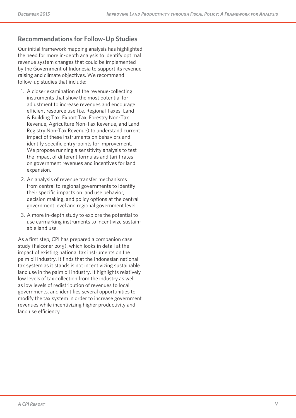# **Recommendations for Follow-Up Studies**

Our initial framework mapping analysis has highlighted the need for more in-depth analysis to identify optimal revenue system changes that could be implemented by the Government of Indonesia to support its revenue raising and climate objectives. We recommend follow-up studies that include:

- 1. A closer examination of the revenue-collecting instruments that show the most potential for adjustment to increase revenues and encourage efficient resource use (i.e. Regional Taxes, Land & Building Tax, Export Tax, Forestry Non-Tax Revenue, Agriculture Non-Tax Revenue, and Land Registry Non-Tax Revenue) to understand current impact of these instruments on behaviors and identify specific entry-points for improvement. We propose running a sensitivity analysis to test the impact of different formulas and tariff rates on government revenues and incentives for land expansion.
- 2. An analysis of revenue transfer mechanisms from central to regional governments to identify their specific impacts on land use behavior, decision making, and policy options at the central government level and regional government level.
- 3. A more in-depth study to explore the potential to use earmarking instruments to incentivize sustain able land use.

As a first step, CPI has prepared a companion case study (Falconer 2015), which looks in detail at the impact of existing national tax instruments on the palm oil industry. It finds that the Indonesian national tax system as it stands is not incentivizing sustainable land use in the palm oil industry. It highlights relatively low levels of tax collection from the industry as well as low levels of redistribution of revenues to local governments, and identifies several opportunities to modify the tax system in order to increase government revenues while incentivizing higher productivity and land use efficiency.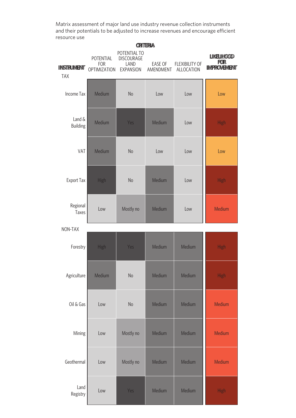Matrix assessment of major land use industry revenue collection instruments and their potentials to be adjusted to increase revenues and encourage efficient resource use

| <b>CRITERIA</b>                 |                                                |                                                        |                             |                                     |                                                       |  |
|---------------------------------|------------------------------------------------|--------------------------------------------------------|-----------------------------|-------------------------------------|-------------------------------------------------------|--|
| <b>INSTRUMENT</b><br><b>TAX</b> | POTENTIAL<br><b>FOR</b><br><b>OPTIMIZATION</b> | POTENTIAL TO<br>DISCOURAGE<br>LAND<br><b>EXPANSION</b> | <b>EASE OF</b><br>AMENDMENT | <b>FLEXIBILITY OF</b><br>ALLOCATION | <b>LIKELIHOOD</b><br><b>FOR</b><br><b>IMPROVEMENT</b> |  |
| <b>Income Tax</b>               | Medium                                         | No                                                     | Low                         | Low                                 | Low                                                   |  |
| Land &<br><b>Building</b>       | Medium                                         | Yes                                                    | Medium                      | Low                                 | <b>High</b>                                           |  |
| VAT                             | Medium                                         | No                                                     | Low                         | Low                                 | Low                                                   |  |
| <b>Export Tax</b>               | High                                           | <b>No</b>                                              | Medium                      | Low                                 | <b>High</b>                                           |  |
| Regional<br>Taxes               | Low                                            | Mostly no                                              | Medium                      | Low                                 | Medium                                                |  |
| NON-TAX                         |                                                |                                                        |                             |                                     |                                                       |  |
| Forestry                        | High                                           | Yes                                                    | Medium                      | Medium                              | <b>High</b>                                           |  |
| Agriculture                     | Medium                                         | No                                                     | Medium                      | Medium                              | <b>High</b>                                           |  |
| Oil & Gas                       | Low                                            | <b>No</b>                                              | Medium                      | Medium                              | Medium                                                |  |
| Mining                          | Low                                            | Mostly no                                              | Medium                      | Medium                              | Medium                                                |  |
| Geothermal                      | Low                                            | Mostly no                                              | Medium                      | Medium                              | Medium                                                |  |
| Land<br>Registry                | Low                                            | Yes                                                    | Medium                      | Medium                              | <b>High</b>                                           |  |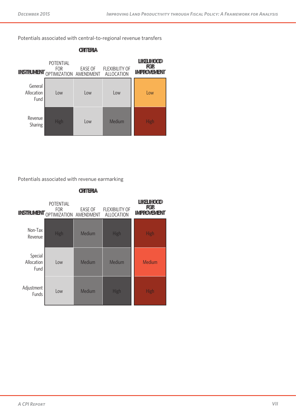Potentials associated with central-to-regional revenue transfers



Potentials associated with revenue earmarking

**INSTRUMENT** OPTIMIZATION AMENDMENT **LIKELIHOOD FOR IMPROVEMENT** POTENTIAL FOR EASE OF FLEXIBILITY OF ALLOCATION Non-Tax Revenue High Medium High High Special Allocation Fund Low Medium Medium Nedium Adjustment tinent Low Medium High High High

**CRITERIA**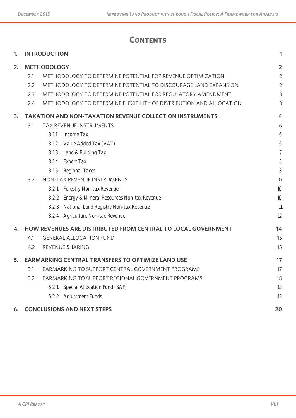# **Contents**

| 1. |     | <b>INTRODUCTION</b> |                                                                     | 1              |
|----|-----|---------------------|---------------------------------------------------------------------|----------------|
| 2. |     | <b>METHODOLOGY</b>  |                                                                     | $\overline{2}$ |
|    | 2.1 |                     | METHODOLOGY TO DETERMINE POTENTIAL FOR REVENUE OPTIMIZATION         | $\overline{2}$ |
|    | 2.2 |                     | METHODOLOGY TO DETERMINE POTENTIAL TO DISCOURAGE LAND EXPANSION     | $\overline{2}$ |
|    | 2.3 |                     | METHODOLOGY TO DETERMINE POTENTIAL FOR REGULATORY AMENDMENT         | 3              |
|    | 2.4 |                     | METHODOLOGY TO DETERMINE FLEXIBILITY OF DISTRIBUTION AND ALLOCATION | 3              |
| 3. |     |                     | <b>TAXATION AND NON-TAXATION REVENUE COLLECTION INSTRUMENTS</b>     | $\overline{4}$ |
|    | 3.1 |                     | TAX REVENUE INSTRUMENTS                                             | 6              |
|    |     | 3.1.1               | Income Tax                                                          | 6              |
|    |     | 3.1.2               | Value Added Tax (VAT)                                               | 6              |
|    |     | 3.1.3               | Land & Building Tax                                                 | $\overline{7}$ |
|    |     | 3.1.4               | Export Tax                                                          | 8              |
|    |     | 3.1.5               | Regional Taxes                                                      | 8              |
|    | 3.2 |                     | NON-TAX REVENUE INSTRUMENTS                                         | 10             |
|    |     | 3.2.1               | Forestry Non-tax Revenue                                            | 10             |
|    |     | 3.2.2               | Energy & Mineral Resources Non-tax Revenue                          | 10             |
|    |     | 3.2.3               | National Land Registry Non-tax Revenue                              | 11             |
|    |     |                     | 3.2.4 Agriculture Non-tax Revenue                                   | 12             |
| 4. |     |                     | HOW REVENUES ARE DISTRIBUTED FROM CENTRAL TO LOCAL GOVERNMENT       | 14             |
|    | 4.1 |                     | <b>GENERAL ALLOCATION FUND</b>                                      | 15             |
|    | 4.2 |                     | REVENUE SHARING                                                     | 15             |
| 5. |     |                     | <b>EARMARKING CENTRAL TRANSFERS TO OPTIMIZE LAND USE</b>            | 17             |
|    | 5.1 |                     | EARMARKING TO SUPPORT CENTRAL GOVERNMENT PROGRAMS                   | 17             |
|    | 5.2 |                     | EARMARKING TO SUPPORT REGIONAL GOVERNMENT PROGRAMS                  | 18             |
|    |     | 5.2.1               | Special Allocation Fund (SAF)                                       | 18             |
|    |     |                     | 5.2.2 Adjustment Funds                                              | 18             |
| 6. |     |                     | <b>CONCLUSIONS AND NEXT STEPS</b>                                   | 20             |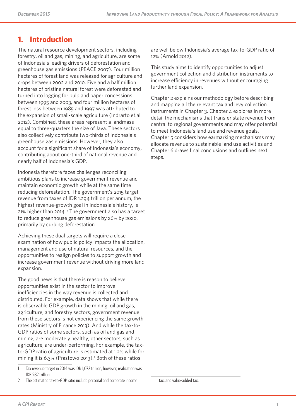# **1. Introduction**

The natural resource development sectors, including forestry, oil and gas, mining, and agriculture, are some of Indonesia's leading drivers of deforestation and greenhouse gas emissions (PEACE 2007). Four million hectares of forest land was released for agriculture and crops between 2002 and 2010. Five and a half million hectares of pristine natural forest were deforested and turned into logging for pulp and paper concessions between 1995 and 2003, and four million hectares of forest loss between 1985 and 1997 was attributed to the expansion of small-scale agriculture (Indrarto et.al 2012). Combined, these areas represent a landmass equal to three-quarters the size of Java. These sectors also collectively contribute two-thirds of Indonesia's greenhouse gas emissions. However, they also account for a significant share of Indonesia's economy, contributing about one-third of national revenue and nearly half of Indonesia's GDP.

Indonesia therefore faces challenges reconciling ambitious plans to increase government revenue and maintain economic growth while at the same time reducing deforestation. The government's 2015 target revenue from taxes of IDR 1,294 trillion per annum, the highest revenue-growth goal in Indonesia's history, is 21% higher than 2014.<sup>1</sup> The government also has a target to reduce greenhouse gas emissions by 26% by 2020, primarily by curbing deforestation.

Achieving these dual targets will require a close examination of how public policy impacts the allocation, management and use of natural resources, and the opportunities to realign policies to support growth and increase government revenue without driving more land expansion.

The good news is that there is reason to believe opportunities exist in the sector to improve inefficiencies in the way revenue is collected and distributed. For example, data shows that while there is observable GDP growth in the mining, oil and gas, agriculture, and forestry sectors, government revenue from these sectors is not experiencing the same growth rates (Ministry of Finance 2013). And while the tax-to-GDP ratios of some sectors, such as oil and gas and mining, are moderately healthy, other sectors, such as agriculture, are under-performing. For example, the taxto-GDP ratio of agriculture is estimated at 1.2% while for mining it is  $6.3\%$  (Prastowo 2013).<sup>2</sup> Both of these ratios

are well below Indonesia's average tax-to-GDP ratio of 12% (Arnold 2012).

This study aims to identify opportunities to adjust government collection and distribution instruments to increase efficiency in revenues without encouraging further land expansion.

Chapter 2 explains our methodology before describing and mapping all the relevant tax and levy collection instruments in Chapter 3. Chapter 4 explores in more detail the mechanisms that transfer state revenue from central to regional governments and may offer potential to meet Indonesia's land use and revenue goals. Chapter 5 considers how earmarking mechanisms may allocate revenue to sustainable land use activities and Chapter 6 draws final conclusions and outlines next steps.

<sup>1</sup> Tax revenue target in 2014 was IDR 1,072 trillion, however, realization was IDR 982 trillion.

<sup>2</sup> The estimated tax-to-GDP ratio include personal and corporate income

tax, and value-added tax.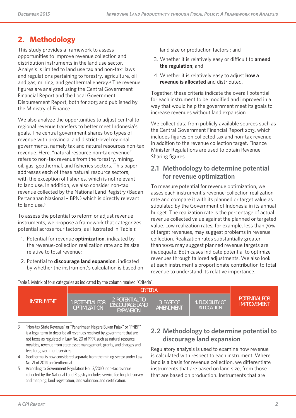# **2. Methodology**

This study provides a framework to assess opportunities to improve revenue collection and distribution instruments in the land use sector. Analysis is limited to land use tax and non-tax<sup>3</sup> laws and regulations pertaining to forestry, agriculture, oil and gas, mining, and geothermal energy.4 The revenue figures are analyzed using the Central Government Financial Report and the Local Government Disbursement Report, both for 2013 and published by the Ministry of Finance.

We also analyze the opportunities to adjust central to regional revenue transfers to better meet Indonesia's goals. The central government shares two types of revenue with provincial and district-level regional governments, namely tax and natural resources non-tax revenue. Here, "natural resource non-tax revenue" refers to non-tax revenue from the forestry, mining, oil, gas, geothermal, and fisheries sectors. This paper addresses each of these natural resource sectors, with the exception of fisheries, which is not relevant to land use. In addition, we also consider non-tax revenue collected by the National Land Registry (Badan Pertanahan Nasional – BPN) which is directly relevant to land use.<sup>5</sup>

To assess the potential to reform or adjust revenue instruments, we propose a framework that categorizes potential across four factors, as illustrated in Table 1:

- 1. Potential for revenue **optimization**, indicated by the revenue-collection realization rate and its size relative to total revenue;
- 2. Potential to **discourage land expansion**, indicated by whether the instrument's calculation is based on

land size or production factors ; and

- 3. Whether it is relatively easy or difficult to **amend the regulation**; and
- 4. Whether it is relatively easy to adjust **how a revenue is allocated** and distributed.

Together, these criteria indicate the overall potential for each instrument to be modified and improved in a way that would help the government meet its goals to increase revenues without land expansion.

We collect data from publicly available sources such as the Central Government Financial Report 2013, which includes figures on collected tax and non-tax revenue, in addition to the revenue collection target. Finance Minister Regulations are used to obtain Revenue Sharing figures.

### **2.1 Methodology to determine potential for revenue optimization**

To measure potential for revenue optimization, we asses each instrument's revenue-collection realization rate and compare it with its planned or target value as stipulated by the Government of Indonesia in its annual budget. The realization rate is the percentage of actual revenue collected value against the planned or targeted value. Low realization rates, for example, less than 70% of target revenues, may suggest problems in revenue collection. Realization rates substantially greater than 100% may suggest planned revenue targets are inadequate. Both cases indicate potential to optimize revenues through tailored adjustments. We also look at each instrument's proportionate contribution to total revenue to understand its relative importance.

| able if matrix of four categories as indicated by the column market. Chilena . |                                                |                                                        |                                |                                 |                                            |
|--------------------------------------------------------------------------------|------------------------------------------------|--------------------------------------------------------|--------------------------------|---------------------------------|--------------------------------------------|
|                                                                                |                                                |                                                        |                                |                                 |                                            |
| <b>INSTRUMENT</b>                                                              | <b>1. POTENTIAL FOR</b><br><b>OPTIMIZATION</b> | 2. POTENTIAL TO<br>DISCOURAGE LAND<br><b>EXPANSION</b> | 3. FASE OF<br><b>AMFNDMFNT</b> | 4. ELEXIBILITY OF<br>ALLOCATION | <b>POTENTIAL FOR</b><br><b>IMPROVEMENT</b> |

Table 1. Matrix of four categories as indicated by the column marked "Criteria".

3 "Non-tax State Revenue" or "Penerimaan Negara Bukan Pajak" or "PNBP" is a legal term to describe all revenues received by government that are not taxes as regulated in Law No. 20 of 1997, such as natural resource royalties, revenue from state asset management, grants, and charges and fees for government services.

- 4 Geothermal is now considered separate from the mining sector under Law No. 21 of 2014 on Geothermal.
- 5 According to Government Regulation No. 13/2010, non-tax revenue collected by the National Land Registry includes service fee for plot survey and mapping, land registration, land valuation, and certification.

### **2.2 Methodology to determine potential to discourage land expansion**

Regulatory analysis is used to examine how revenue is calculated with respect to each instrument. Where land is a basis for revenue collection, we differentiate instruments that are based on land size, from those that are based on production. Instruments that are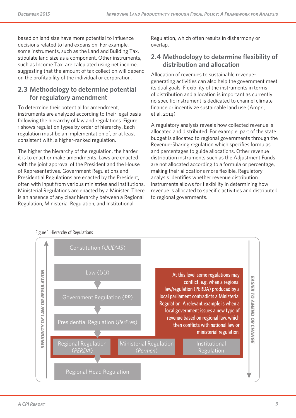based on land size have more potential to influence decisions related to land expansion. For example, some instruments, such as the Land and Building Tax, stipulate land size as a component. Other instruments, such as Income Tax, are calculated using net income, suggesting that the amount of tax collection will depend on the profitability of the individual or corporation.

### **2.3 Methodology to determine potential for regulatory amendment**

To determine their potential for amendment, instruments are analyzed according to their legal basis following the hierarchy of law and regulations. Figure 1 shows regulation types by order of hierarchy. Each regulation must be an implementation of, or at least consistent with, a higher-ranked regulation.

The higher the hierarchy of the regulation, the harder it is to enact or make amendments. Laws are enacted with the joint approval of the President and the House of Representatives. Government Regulations and Presidential Regulations are enacted by the President, often with input from various ministries and institutions. Ministerial Regulations are enacted by a Minister. There is an absence of any clear hierarchy between a Regional Regulation, Ministerial Regulation, and Institutional

Regulation, which often results in disharmony or overlap.

### **2.4 Methodology to determine flexibility of distribution and allocation**

Allocation of revenues to sustainable revenuegenerating activities can also help the government meet its dual goals. Flexibility of the instruments in terms of distribution and allocation is important as currently no specific instrument is dedicated to channel climate finance or incentivize sustainable land use (Ampri, I. et.al. 2014).

A regulatory analysis reveals how collected revenue is allocated and distributed. For example, part of the state budget is allocated to regional governments through the Revenue-Sharing regulation which specifies formulas and percentages to guide allocations. Other revenue distribution instruments such as the Adjustment Funds are not allocated according to a formula or percentage, making their allocations more flexible. Regulatory analysis identifies whether revenue distribution instruments allows for flexibility in determining how revenue is allocated to specific activities and distributed to regional governments.



#### Figure 1. Hierarchy of Regulations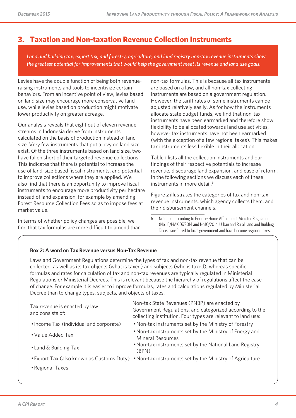# **3. Taxation and Non-taxation Revenue Collection Instruments**

*Land and building tax, export tax, and forestry, agriculture, and land registry non-tax revenue instruments show the greatest potential for improvements that would help the government meet its revenue and land use goals.* 

Levies have the double function of being both revenueraising instruments and tools to incentivize certain behaviors. From an incentive point of view, levies based on land size may encourage more conservative land use, while levies based on production might motivate lower productivity on greater acreage.

Our analysis reveals that eight out of eleven revenue streams in Indonesia derive from instruments calculated on the basis of production instead of land size. Very few instruments that put a levy on land size exist. Of the three instruments based on land size, two have fallen short of their targeted revenue collections. This indicates that there is potential to increase the use of land-size based fiscal instruments, and potential to improve collections where they are applied. We also find that there is an opportunity to improve fiscal instruments to encourage more productivity per hectare instead of land expansion, for example by amending Forest Resource Collection Fees so as to impose fees at market value.

In terms of whether policy changes are possible, we find that tax formulas are more difficult to amend than non-tax formulas. This is because all tax instruments are based on a law, and all non-tax collecting instruments are based on a government regulation. However, the tariff rates of some instruments can be adjusted relatively easily. As for how the instruments allocate state budget funds, we find that non-tax instruments have been earmarked and therefore show flexibility to be allocated towards land use activities, however tax instruments have not been earmarked (with the exception of a few regional taxes). This makes tax instruments less flexible in their allocation.

Table 1 lists all the collection instruments and our findings of their respective potentials to increase revenue, discourage land expansion, and ease of reform. In the following sections we discuss each of these instruments in more detail.<sup>6</sup>

Figure 2 illustrates the categories of tax and non-tax revenue instruments, which agency collects them, and their disbursement channels.

6 Note that according to Finance-Home Affairs Joint Minister Regulation (No. 15/PMK.07/2014 and No.10/2014, Urban and Rural Land and Building Tax is transferred to local government and have become regional taxes.

#### **Box 2: A word on Tax Revenue versus Non-Tax Revenue**

Laws and Government Regulations determine the types of tax and non-tax revenue that can be collected, as well as its tax objects (what is taxed) and subjects (who is taxed), whereas specific formulas and rates for calculation of tax and non-tax revenues are typically regulated in Ministerial Regulations or Ministerial Decrees. This is relevant because the hierarchy of regulations affect the ease of change. For example it is easier to improve formulas, rates and calculations regulated by Ministerial Decree than to change types, subjects, and objects of taxes.

| Tax revenue is enacted by law<br>and consists of: | Non-tax State Revenues (PNBP) are enacted by<br>Government Regulations, and categorized according to the<br>collecting institution. Four types are relevant to land use: |
|---------------------------------------------------|--------------------------------------------------------------------------------------------------------------------------------------------------------------------------|
| • Income Tax (individual and corporate)           | • Non-tax instruments set by the Ministry of Forestry                                                                                                                    |
| • Value Added Tax                                 | . Non-tax instruments set by the Ministry of Energy and<br><b>Mineral Resources</b>                                                                                      |
| • Land & Building Tax                             | . Non-tax instruments set by the National Land Registry<br>(BPN)                                                                                                         |
|                                                   | • Export Tax (also known as Customs Duty) • Non-tax instruments set by the Ministry of Agriculture                                                                       |
| • Regional Taxes                                  |                                                                                                                                                                          |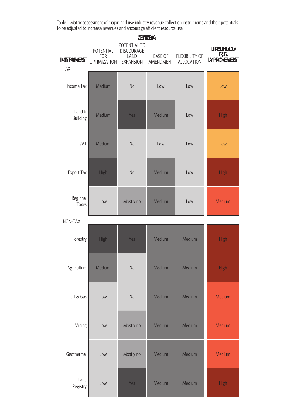Table 1. Matrix assessment of major land use industry revenue collection instruments and their potentials to be adjusted to increase revenues and encourage efficient resource use

| <b>INSTRUMENT</b><br><b>TAX</b> | POTENTIAL<br><b>FOR</b><br><b>OPTIMIZATION</b> | POTENTIAL TO<br><b>DISCOURAGE</b><br>LAND<br><b>EXPANSION</b> | EASE OF<br>AMENDMENT | <b>FLEXIBILITY OF</b><br>ALLOCATION | <b>LIKELIHOOD</b><br><b>FOR</b><br><b>IMPROVEMENT</b> |
|---------------------------------|------------------------------------------------|---------------------------------------------------------------|----------------------|-------------------------------------|-------------------------------------------------------|
| <b>Income Tax</b>               | Medium                                         | <b>No</b>                                                     | Low                  | Low                                 | Low                                                   |
| Land &<br><b>Building</b>       | Medium                                         | Yes                                                           | Medium               | Low                                 | <b>High</b>                                           |
| VAT                             | Medium                                         | <b>No</b>                                                     | Low                  | Low                                 | Low                                                   |
| <b>Export Tax</b>               | <b>High</b>                                    | <b>No</b>                                                     | Medium               | Low                                 | <b>High</b>                                           |
| Regional<br><b>Taxes</b>        | Low                                            | Mostly no                                                     | Medium               | Low                                 | Medium                                                |
| NON-TAX                         |                                                |                                                               |                      |                                     |                                                       |
| Forestry                        | High                                           | Yes                                                           | Medium               | Medium                              | <b>High</b>                                           |
| Agriculture                     | Medium                                         | No                                                            | Medium               | Medium                              | <b>High</b>                                           |
| Oil & Gas                       | Low                                            | No                                                            | Medium               | Medium                              | Medium                                                |
| Mining                          | Low                                            | Mostly no                                                     | Medium               | Medium                              | Medium                                                |
| Geothermal                      | Low                                            | Mostly no                                                     | Medium               | Medium                              | Medium                                                |
| Land<br>Registry                | Low                                            | Yes                                                           | Medium               | Medium                              | <b>High</b>                                           |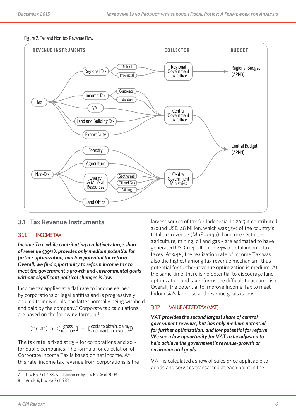Figure 2. Tax and Non-tax Revenue Flow



### **3.1 Tax Revenue Instruments**

#### **3.1.1 INCOME TAX**

*Income Tax, while contributing a relatively large share of revenue (39%), provides only medium potential for further optimization, and low potential for reform. Overall, we find opportunity to reform income tax to meet the government's growth and environmental goals without significant political changes is low.*

Income tax applies at a flat rate to income earned by corporations or legal entities and is progressively applied to individuals, the latter normally being withheld and paid by the company.<sup>7</sup> Corporate tax calculations are based on the following formula:<sup>8</sup>

[tax rate] x ([  $\frac{\text{gross}}{\text{revenue}}$ ] - [ costs to obtain, claim, ])

The tax rate is fixed at 25% for corporations and 20% for public companies. The formula for calculation of Corporate Income Tax is based on net income. At this rate, income tax revenue from corporations is the largest source of tax for Indonesia. In 2013 it contributed around USD 48 billion, which was 39% of the country's total tax revenue (MoF 2014a). Land use sectors – agriculture, mining, oil and gas – are estimated to have generated USD 11.4 billion or 24% of total income tax taxes. At 94%, the realization rate of Income Tax was also the highest among tax revenue mechanism, thus potential for further revenue optimization is medium. At the same time, there is no potential to discourage land optimization and tax reforms are difficult to accomplish. Overall, the potential to improve Income Tax to meet Indonesia's land use and revenue goals is low.

#### **3.1.2 VALUE ADDED TAX (VAT)**

*VAT provides the second largest share of central government revenue, but has only medium potential for further optimization, and low potential for reform. We see a low opportunity for VAT to be adjusted to help achieve the government's revenue-growth or environmental goals.* 

VAT is calculated as 10% of sales price applicable to goods and services transacted at each point in the

<sup>7</sup> Law No. 7 of 1983 as last amended by Law No. 36 of 2008

<sup>8</sup> Article 6, Law No. 7 of 1983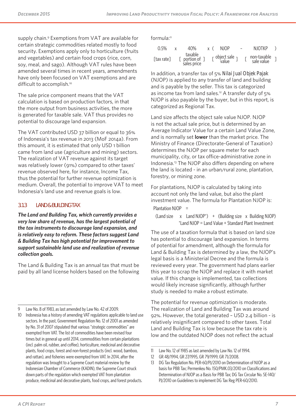supply chain.<sup>9</sup> Exemptions from VAT are available for certain strategic commodities related mostly to food security. Exemptions apply only to horticulture (fruits and vegetables) and certain food crops (rice, corn, soy, meal, and sago). Although VAT rules have been amended several times in recent years, amendments have only been focused on VAT exemptions and are difficult to accomplish.<sup>10</sup>

The sale price component means that the VAT calculation is based on production factors, in that the more output from business activities, the more is generated for taxable sale. VAT thus provides no potential to discourage land expansion.

The VAT contributed USD 37 billion or equal to 36% of Indonesia's tax revenue in 2013 (MoF 2014a). From this amount, it is estimated that only USD 1 billion came from land use (agriculture and mining) sectors. The realization of VAT revenue against its target was relatively lower (91%) compared to other taxes' revenue observed here, for instance, Income Tax, thus the potential for further revenue optimization is medium. Overall, the potential to improve VAT to meet Indonesia's land use and revenue goals is low.

#### **3.1.3 LAND & BUILDING TAX**

*The Land and Building Tax, which currently provides a very low share of revenue, has the largest potential of the tax instruments to discourage land expansion, and is relatively easy to reform. These factors suggest Land & Building Tax has high potential for improvement to support sustainable land use and realization of revenue collection goals.*

The Land & Building Tax is an annual tax that must be paid by all land license holders based on the following formula:11

| $0.5\%$    | 40%                                      | x ( | NJOP                            | $\sim$ $-$ | NJOTKP                                |  |
|------------|------------------------------------------|-----|---------------------------------|------------|---------------------------------------|--|
| [tax rate] | taxable<br>[ portion of ]<br>sales price |     | $\lbrack$ object sale $\lbrack$ |            | $[$ non-taxable $]$<br>sale value $]$ |  |

In addition, a transfer tax of 5% *Nilai Jual Objek Pajak*  (NJOP) is applied to any transfer of land and building and is payable by the seller. This tax is categorized as income tax from land sales.<sup>12</sup> A transfer duty of  $5\%$ NJOP is also payable by the buyer, but in this report, is categorized as Regional Tax.

Land size affects the object sale value NJOP. NJOP is not the actual sale price, but is determined by an Average Indicator Value for a certain Land Value Zone, and is normally set **lower** than the market price. The Ministry of Finance (Directorate-General of Taxation) determines the NJOP per square meter for each municipality, city, or tax office-administrative zone in Indonesia.13 The NJOP also differs depending on where the land is located - in an urban/rural zone, plantation, forestry, or mining zone.

For plantations, NJOP is calculated by taking into account not only the land value, but also the plant investment value. The formula for Plantation NJOP is: Plantation  $NJOP =$ 

(Land size x Land NJOP\*) + (Building size x Building NJOP) \*Land NJOP = Land Value + Standard Plant Investment

The use of a taxation formula that is based on land size has potential to discourage land expansion. In terms of potential for amendment, although the formula for Land & Building Tax is determined by a law, the NJOP's legal basis is a Ministerial Decree and the formula is reviewed every year. The government had plans earlier this year to scrap the NJOP and replace it with market value. If this change is implemented, tax collections would likely increase significantly, although further study is needed to make a robust estimate.

The potential for revenue optimization is moderate. The realization of Land and Building Tax was around 92%. However, the total generated – USD 2.4 billion - is relatively insignificant compared to other taxes. Total Land and Building Tax is low because the tax rate is low and the outdated NJOP does not reflect the actual

Law No. 8 of 1983, as last amended by Law No. 42 of 2009.

<sup>10</sup> Indonesia has a history of amending VAT regulations applicable to land use sectors. In the past, Government Regulation No. 12 of 2001 as amended by No. 31 of 2007 stipulated that various "strategic commodities" are exempted from VAT. The list of commodities have been revised four times but in general up until 2014, commodities from certain plantations (incl. palm oil, rubber, and coffee), horticulture, medicinal and decorative plants, food crops, forest and non-forest products (incl. wood, bamboo, and rattan), and fisheries were exempted from VAT. In 2014, after the regulation was brought to a Supreme Court material review by the Indonesian Chamber of Commerce (KADIN), the Supreme Court struck down parts of the regulation which exempted VAT from plantation produce, medicinal and decorative plants, food crops, and forest products.

<sup>11</sup> Law No. 12 of 1985 as last amended by Law No. 12 of 1994.

<sup>12</sup> GR 48/1994, GR 27/1995, GR 79/1999, GR 71/2008.

<sup>13</sup> DG Tax Regulation No. PER-60/PJ/2010 on Determination of NJOP as a basis for PBB Tax; Permenkeu No. 150/PMK.03/2010 on Classifications and Determination of NJOP as a Basis for PBB Tax; DG Tax Circular No. SE-140/ PJ/2010 on Guidelines to implement DG Tax Reg PER-60/2010.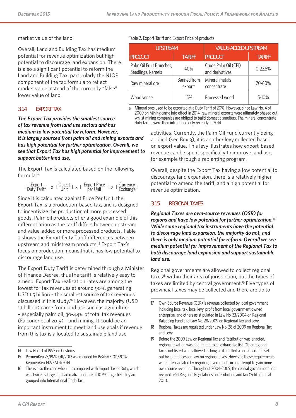market value of the land.

Overall, Land and Building Tax has medium potential for revenue optimization but high potential to discourage land expansion. There is also a significant potential to reform the Land and Building Tax, particularly the NJOP component of the tax formula to reflect market value instead of the currently "false" lower value of land.

#### **3.1.4 EXPORT TAX**

*The Export Tax provides the smallest source of tax revenue from land use sectors and has medium to low potential for reform. However, it is largely sourced from palm oil and mining exports and has high potential for further optimization. Overall, we see that Export Tax has high potential for improvement to support better land use.* 

The Export Tax is calculated based on the following formula:14

[ Export | x [ Object ] x [ Export Price ] x [ Currency ]<br>
L Duty Tariff ] x [ Unit ] x [ Export Price ] x [ Exchange ]

Since it is calculated against Price Per Unit, the Export Tax is a production-based tax, and is designed to incentivize the production of more processed goods. Palm oil products offer a good example of this differentiation as the tariff differs between upstream and value-added or more processed products. Table 2 shows the Export Duty Tariff differences between upstream and midstream products.<sup>15</sup> Export Tax's focus on production means that it has low potential to discourage land use.

The Export Duty Tariff is determined through a Minister of Finance Decree, thus the tariff is relatively easy to amend. Export Tax realization rates are among the lowest for tax revenues at around 90%, generating USD 1.5 billion – the smallest source of tax revenues discussed in this study.<sup>16</sup> However, the majority (USD 1.1 billion) came from land use such as agriculture – especially palm oil, 30-44% of total tax revenues (Falconer et.al 2015) – and mining. It could be an important instrument to meet land use goals if revenue from this tax is allocated to sustainable land use

#### Table 2. Export Tariff and Export Price of products

| <b>UPSTREAM</b>                                |                                    | <b>VALUE-ADDED UPSTREAM</b>             |               |  |
|------------------------------------------------|------------------------------------|-----------------------------------------|---------------|--|
| <b>PRODUCT</b>                                 | <b>TARIFF</b>                      | <b>PRODUCT</b>                          | <b>TARIFF</b> |  |
| Palm Oil Fruit Brunches,<br>Seedlings, Kernels | 40%                                | Crude Palm Oil (CPI)<br>and derivatives | $0 - 22.5%$   |  |
| Raw mineral ore                                | Banned from<br>export <sup>a</sup> | Mineral metals<br>concentrate           | 20-60%        |  |
| Wood veneer                                    | 15%                                | Processed wood                          | 5-10%         |  |

a Mineral ores used to be exported at a Duty Tariff of 20%. However, since Law No. 4 of 2009 on Mining came into effect in 2014, raw mineral exports were ultimately phased out whilst mining companies are obliged to build domestic smelters. The mineral concentrate duty tariffs were then introduced only recently in 2014.

> activities. Currently, the Palm Oil Fund currently being applied (see Box 3), it is another levy collected based on export value. This levy illustrates how export-based revenue can be spent specifically to improve land use, for example through a replanting program.

Overall, despite the Export Tax having a low potential to discourage land expansion, there is a relatively higher potential to amend the tariff, and a high potential for revenue optimization.

#### **3.1.5 REGIONAL TAXES**

*Regional Taxes are own-source revenues (OSR) for regions and have low potential for further optimization.*<sup>17</sup> *While some regional tax instruments have the potential to discourage land expansion, the majority do not, and there is only medium potential for reform. Overall we see medium potential for improvement of the Regional Tax to both discourage land expansion and support sustainable land use.*

Regional governments are allowed to collect regional taxes<sup>18</sup> within their area of jurisdiction, but the types of taxes are limited by central government.<sup>19</sup> Five types of provincial taxes may be collected and there are up to

<sup>14</sup> Law No. 10 of 1995 on Customs.

<sup>15</sup> PermenKeu 75/PMK.011/2012 as amended by 153/PMK.011/2014; KepmenKeu 142/KM.4/2014.

<sup>16</sup> This is also the case when it is compared with Import Tax or Duty, which was twice as large and had realization rate of 103%. Together, they are grouped into International Trade Tax.

<sup>17</sup> Own-Source Revenue (OSR) is revenue collected by local government including local tax, local levy, profit from local government owned enterprise, and others as stipulated in Law No. 33/2004 on Regional Balancing Fund and Law No. 28/2009 on Regional Tax and Levy.

<sup>18</sup> Regional Taxes are regulated under Law No. 28 of 2009 on Regional Tax and Levy

<sup>19</sup> Before the 2009 Law on Regional Tax and Retribution was enacted, regional taxation was not limited to an exhaustive list. Other regional taxes not listed were allowed as long as it fulfilled a certain criteria set out by a predecessor Law on regional taxes. However, these requirements were often violated by regional governments in an attempt to gain more own source revenue. Throughout 2004-2009, the central government has revoked 1691 Regional Regulations on retribution and tax (Solikhin et. al. 2011).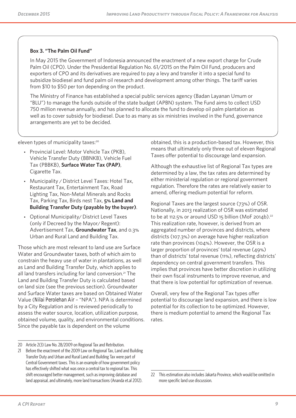#### **Box 3. "The Palm Oil Fund"**

In May 2015 the Government of Indonesia announced the enactment of a new export charge for Crude Palm Oil (CPO). Under the Presidential Regulation No. 61/2015 on the Palm Oil Fund, producers and exporters of CPO and its derivatives are required to pay a levy and transfer it into a special fund to subsidize biodiesel and fund palm oil research and development among other things. The tariff varies from \$10 to \$50 per ton depending on the product.

The Ministry of Finance has established a special public services agency (Badan Layanan Umum or "BLU") to manage the funds outside of the state budget (APBN) system. The Fund aims to collect USD 750 million revenue annually, and has planned to allocate the fund to develop oil palm plantation as well as to cover subsidy for biodiesel. Due to as many as six ministries involved in the Fund, governance arrangements are yet to be decided.

eleven types of municipality taxes:<sup>20</sup>

- Provincial Level: Motor Vehicle Tax (PKB), Vehicle Transfer Duty (BBNKB), Vehicle Fuel Tax (PBBKB), **Surface Water Tax (PAP)**, Cigarette Tax.
- Municipality / District Level Taxes: Hotel Tax, Restaurant Tax, Entertainment Tax, Road Lighting Tax, Non-Metal Minerals and Rocks Tax, Parking Tax, Birds nest Tax, **5% Land and Building Transfer Duty (payable by the buyer)**.
- Optional Municipality/ District Level Taxes (only if Decreed by the Mayor/ Regent): Advertisement Tax, **Groundwater Tax**, and 0.3% Urban and Rural Land and Building Tax.

Those which are most relevant to land use are Surface Water and Groundwater taxes, both of which aim to constrain the heavy use of water in plantations, as well as Land and Building Transfer Duty, which applies to all land transfers including for land conversion.<sup>21</sup> The Land and Building Transfer Duty is calculated based on land size (see the previous section). Groundwater and Surface Water taxes are based on Obtained Water Value (*Nilai Perolehan Air* – "NPA"). NPA is determined by a City Regulation and is reviewed periodically to assess the water source, location, utilization purpose, obtained volume, quality, and environmental conditions. Since the payable tax is dependent on the volume

obtained, this is a production-based tax. However, this means that ultimately only three out of eleven Regional Taxes offer potential to discourage land expansion.

Although the exhaustive list of Regional Tax types are determined by a law, the tax rates are determined by either ministerial regulation or regional government regulation. Therefore the rates are relatively easier to amend, offering medium potential for reform.

Regional Taxes are the largest source (73%) of OSR. Nationally, in 2013 realization of OSR was estimated to be at 112.5% or around USD 15 billion (MoF 2014b).<sup>22</sup> This realization rate, however, is derived from an aggregated number of provinces and districts, where districts (107.3%) on average have higher realization rate than provinces (104%). However, the OSR is a larger proportion of provinces' total revenue (49%) than of districts' total revenue (11%), reflecting districts' dependency on central government transfers. This implies that provinces have better discretion in utilizing their own fiscal instruments to improve revenue, and that there is low potential for optimization of revenue.

Overall, very few of the Regional Tax types offer potential to discourage land expansion, and there is low potential for its collection to be optimized. However, there is medium potential to amend the Regional Tax rates.

<sup>20</sup> Article 2(3) Law No. 28/2009 on Regional Tax and Retribution.

<sup>21</sup> Before the enactment of the 2009 Law on Regional Tax, Land and Building Transfer Duty and Urban and Rural Land and Building Tax were part of Central Government taxes. This is an example of how government policy has effectively shifted what was once a central tax to regional tax. This shift encouraged better management, such as improving database and land appraisal, and ultimately, more land transactions (Ananda et.al 2012).

<sup>22</sup> This estimation also includes Jakarta Province, which would be omitted in more specific land use discussion.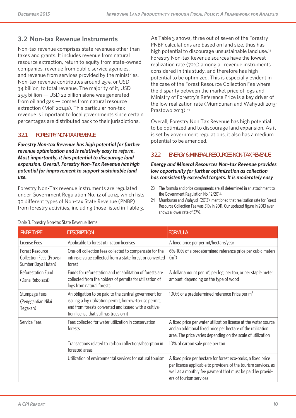# **3.2 Non-tax Revenue Instruments**

Non-tax revenue comprises state revenues other than taxes and grants. It includes revenue from natural resource extraction, return to equity from state-owned companies, revenue from public service agencies, and revenue from services provided by the ministries. Non-tax revenue contributes around 25%, or USD 34 billion, to total revenue. The majority of it, USD 25.5 billion — USD 22 billion alone was generated from oil and gas — comes from natural resource extraction (MoF 2014a). This particular non-tax revenue is important to local governments since certain percentages are distributed back to their jurisdictions.

#### **3.2.1 FORESTRY NON-TAX REVENUE**

*Forestry Non-tax Revenue has high potential for further revenue optimization and is relatively easy to reform. Most importantly, it has potential to discourage land expansion. Overall, Forestry Non-Tax Revenue has high potential for improvement to support sustainable land use.*

Forestry Non-Tax revenue instruments are regulated under Government Regulation No. 12 of 2014, which lists 30 different types of Non-tax State Revenue (PNBP) from forestry activities, including those listed in Table 3.

As Table 3 shows, three out of seven of the Forestry PNBP calculations are based on land size, thus has high potential to discourage unsustainable land use.<sup>23</sup> Forestry Non-tax Revenue sources have the lowest realization rate (72%) among all revenue instruments considered in this study, and therefore has high potential to be optimized. This is especially evident in the case of the Forest Resource Collection Fee where the disparity between the market price of logs and Ministry of Forestry's Reference Price is a key driver of the low realization rate (Mumbunan and Wahyudi 2013; Prastowo 2013).<sup>24</sup>

Overall, Forestry Non Tax Revenue has high potential to be optimized and to discourage land expansion. As it is set by government regulations, it also has a medium potential to be amended.

#### **3.2.2 ENERGY & MINERAL RESOURCES NON-TAX REVENUE**

#### *Energy and Mineral Resources Non-tax Revenue provides low opportunity for further optimization as collection has consistently exceeded targets. It is moderately easy*

<sup>24</sup> Mumbunan and Wahyudi (2013), mentioned that realization rate for Forest Resource Collection Fee was 51% in 2011. Our updated figure in 2013 even shows a lower rate of 37%.

| <b>PNBP TYPE</b>                                                                | <b>DESCRIPTION</b>                                                                                                                                                                                                    | <b>FORMULA</b>                                                                                                                                                                                                            |
|---------------------------------------------------------------------------------|-----------------------------------------------------------------------------------------------------------------------------------------------------------------------------------------------------------------------|---------------------------------------------------------------------------------------------------------------------------------------------------------------------------------------------------------------------------|
| License Fees                                                                    | Applicable to forest utilization licenses                                                                                                                                                                             | A fixed price per permit/hectare/year                                                                                                                                                                                     |
| <b>Forest Resource</b><br><b>Collection Fees (Provisi</b><br>Sumber Daya Hutan) | One-off collection fees collected to compensate for the<br>intrinsic value collected from a state forest or converted<br>forest                                                                                       | 6%-10% of a predetermined reference price per cubic meters<br>(m <sup>3</sup> )                                                                                                                                           |
| Reforestation Fund<br>(Dana Reboisasi)                                          | Funds for reforestation and rehabilitation of forests are<br>collected from the holders of permits for utilization of<br>logs from natural forests                                                                    | A dollar amount per $m^3$ , per log, per ton, or per staple meter<br>amount, depending on the type of wood                                                                                                                |
| <b>Stumpage Fees</b><br>(Penggantian Nilai<br>Tegakan)                          | An obligation to be paid to the central government for<br>issuing a log utilization permit, borrow-to-use permit,<br>and from forests converted and issued with a cultiva-<br>tion license that still has trees on it | 100% of a predetermined reference Price per m <sup>3</sup>                                                                                                                                                                |
| Service Fees                                                                    | Fees collected for water utilization in conservation<br>forests                                                                                                                                                       | A fixed price per water utilization license at the water source,<br>and an additional fixed price per hectare of the utilization<br>area. The price varies depending on the scale of utilization                          |
|                                                                                 | Transactions related to carbon collection/absorption in<br>forested areas                                                                                                                                             | 10% of carbon sale price per ton                                                                                                                                                                                          |
|                                                                                 | Utilization of environmental services for natural tourism                                                                                                                                                             | A fixed price per hectare for forest eco-parks, a fixed price<br>per license applicable to providers of the tourism services, as<br>well as a monthly fee payment that must be paid by provid-<br>ers of tourism services |

#### Table 3. Forestry Non-tax State Revenue Items

<sup>23</sup> The formula and price components are all determined in an attachment to the Government Regulation No. 12/2014.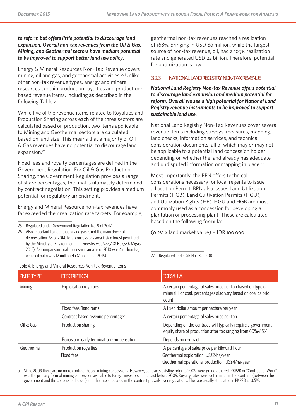#### *to reform but offers little potential to discourage land expansion. Overall non-tax revenues from the Oil & Gas, Mining, and Geothermal sectors have medium potential to be improved to support better land use policy.*

Energy & Mineral Resources Non-Tax Revenue covers mining, oil and gas, and geothermal activities.<sup>25</sup> Unlike other non-tax revenue types, energy and mineral resources contain production royalties and productionbased revenue items, including as described in the following Table 4.

While five of the revenue items related to Royalties and Production Sharing across each of the three sectors are calculated based on production, two items applicable to Mining and Geothermal sectors are calculated based on land size. This means that a majority of Oil & Gas revenues have no potential to discourage land expansion.<sup>26</sup>

Fixed fees and royalty percentages are defined in the Government Regulation. For Oil & Gas Production Sharing, the Government Regulation provides a range of share percentages; the final is ultimately determined by contract negotiation. This setting provides a medium potential for regulatory amendment.

Energy and Mineral Resource non-tax revenues have far exceeded their realization rate targets. For example,

25 Regulated under Government Regulation No. 9 of 2012

26 Also important to note that oil and gas is not the main driver of deforestation. As of 2014, total concessions area inside forest permitted by the Ministry of Environment and Forestry was 922,708 Ha (SKK Migas 2015). As comparison, coal concession area as of 2010 was 4 million Ha, while oil palm was 12 million Ha (Abood et.al 2015).

Table 4. Energy and Mineral Resources Non-tax Revenue items

geothermal non-tax revenues reached a realization of 168%, bringing in USD 80 million, while the largest source of non-tax revenue, oil, had a 105% realization rate and generated USD 22 billion. Therefore, potential for optimization is low.

#### **3.2.3 NATIONAL LAND REGISTRY NON-TAX REVENUE**

*National Land Registry Non-tax Revenue offers potential to discourage land expansion and medium potential for reform. Overall we see a high potential for National Land Registry revenue instruments to be improved to support sustainable land use.*

National Land Registry Non-Tax Revenues cover several revenue items including surveys, measures, mapping, land checks, information services, and technical consideration documents, all of which may or may not be applicable to a potential land concession holder depending on whether the land already has adequate and undisputed information or mapping in place.<sup>27</sup>

Most importantly, the BPN offers technical considerations necessary for local regents to issue a Location Permit. BPN also issues Land Utilization Permits (HGB), Land Cultivation Permits (HGU), and Utilization Rights (HP). HGU and HGB are most commonly used as a concession for developing a plantation or processing plant. These are calculated based on the following formula:

(0.2% x land market value) + IDR 100.000

27 Regulated under GR No. 13 of 2010.

| <b>PNBP TYPE</b> | <b>DESCRIPTION</b>                             | <b>FORMULA</b>                                                                                                                          |
|------------------|------------------------------------------------|-----------------------------------------------------------------------------------------------------------------------------------------|
| Mining           | Exploitation royalties                         | A certain percentage of sales price per ton based on type of<br>mineral. For coal, percentages also vary based on coal caloric<br>count |
|                  | Fixed fees (land rent)                         | A fixed dollar amount per hectare per year                                                                                              |
|                  | Contract based revenue percentage <sup>a</sup> | A certain percentage of sales price per ton                                                                                             |
| Oil & Gas        | Production sharing                             | Depending on the contract, will typically require a government<br>equity share of production after tax ranging from 60%-85%             |
|                  | Bonus and early termination compensation       | Depends on contract                                                                                                                     |
| Geothermal       | Production royalties                           | A percentage of sales price per kilowatt hour                                                                                           |
|                  | Fixed fees                                     | Geothermal exploration: US\$2/ha/year                                                                                                   |
|                  |                                                | Geothermal operational production: US\$4/ha/year                                                                                        |

a Since 2009 there are no more contract-based mining concessions. However, contracts existing prior to 2009 were grandfathered. PKP2B or "Contract of Work" was the primary form of mining concession available to foreign investors in the past before 2009. Royalty rates were determined in the contract (between the government and the concession holder) and the rate stipulated in the contract prevails over regulations. The rate usually stipulated in PKP2B is 13.5%.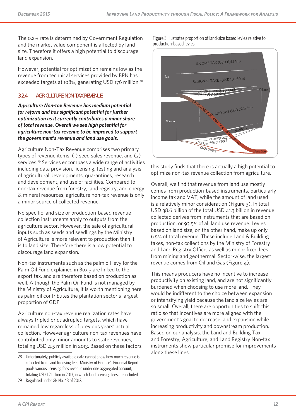The 0.2% rate is determined by Government Regulation and the market value component is affected by land size. Therefore it offers a high potential to discourage land expansion.

However, potential for optimization remains low as the revenue from technical services provided by BPN has exceeded targets at 108%, generating USD 176 million.<sup>28</sup>

#### **3.2.4 AGRICULTURE NON-TAX REVENUE**

*Agriculture Non-tax Revenue has medium potential for reform and has significant potential for further optimization as it currently contributes a minor share of total revenue. Overall we see high potential for agriculture non-tax revenue to be improved to support the government's revenue and land use goals.*

Agriculture Non-Tax Revenue comprises two primary types of revenue items: (1) seed sales revenue, and (2) services.<sup>29</sup> Services encompass a wide range of activities including data provision, licensing, testing and analysis of agricultural developments, quarantines, research and development, and use of facilities. Compared to non-tax revenue from forestry, land registry, and energy & mineral resources, agriculture non-tax revenue is only a minor source of collected revenue.

No specific land size or production-based revenue collection instruments apply to outputs from the agriculture sector. However, the sale of agricultural inputs such as seeds and seedlings by the Ministry of Agriculture is more relevant to production than it is to land size. Therefore there is a low potential to discourage land expansion.

Non-tax instruments such as the palm oil levy for the Palm Oil Fund explained in Box 3 are linked to the export tax, and are therefore based on production as well. Although the Palm Oil Fund is not managed by the Ministry of Agriculture, it is worth mentioning here as palm oil contributes the plantation sector's largest proportion of GDP.

Agriculture non-tax revenue realization rates have always tripled or quadrupled targets, which have remained low regardless of previous years' actual collection. However agriculture non-tax revenues have contributed only minor amounts to state revenues, totaling USD 4.5 million in 2013. Based on these factors Figure 3 illustrates proportion of land-size based levies relative to production-based levies.



this study finds that there is actually a high potential to optimize non-tax revenue collection from agriculture.

Overall, we find that revenue from land use mostly comes from production-based instruments, particularly income tax and VAT, while the amount of land used is a relatively minor consideration (Figure 3). In total USD 38.6 billion of the total USD 41.3 billion in revenue collected derives from instruments that are based on production, or 93.5% of all land use revenue. Levies based on land size, on the other hand, make up only 6.5% of total revenue. These include Land & Building taxes, non-tax collections by the Ministry of Forestry and Land Registry Office, as well as minor fixed fees from mining and geothermal. Sector-wise, the largest revenue comes from Oil and Gas (Figure 4).

This means producers have no incentive to increase productivity on existing land, and are not significantly burdened when choosing to use more land. They would be indifferent to the choice between expansion or intensifying yield because the land size levies are so small. Overall, there are opportunities to shift this ratio so that incentives are more aligned with the government's goal to decrease land expansion while increasing productivity and downstream production. Based on our analysis, the Land and Building Tax, and Forestry, Agriculture, and Land Registry Non-tax instruments show particular promise for improvements along these lines.

<sup>28</sup> Unfortunately, publicly available data cannot show how much revenue is collected from land licensing fees. Ministry of Finance's Financial Report pools various licensing fees revenue under one aggregated account, totaling USD 1.2 billion in 2013, in which land licensing fees are included.

<sup>29</sup> Regulated under GR No. 48 of 2012.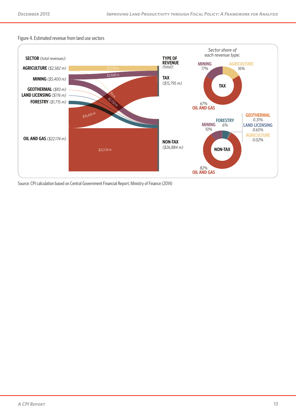#### Figure 4. Estimated revenue from land use sectors



Source: CPI calculation based on Central Government Financial Report, Ministry of Finance (2014)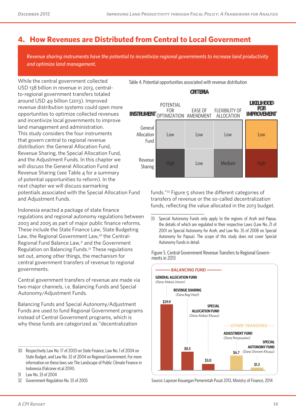# **4. How Revenues are Distributed from Central to Local Government**

*Revenue sharing instruments have the potential to incentivize regional governments to increase land productivity and optimize land management.*

While the central government collected USD 138 billion in revenue in 2013, centralto-regional government transfers totaled around USD 49 billion (2013). Improved revenue distribution systems could open more opportunities to optimize collected revenues and incentivize local governments to improve land management and administration. This study considers the four instruments that govern central to regional revenue distribution: the General Allocation Fund, Revenue Sharing, the Special Allocation Fund, and the Adjustment Funds. In this chapter we will discuss the General Allocation Fund and Revenue Sharing (see Table  $\Lambda$  for a summary of potential opportunities to reform). In the next chapter we will discuss earmarking potentials associated with the Special Allocation Fund and Adjustment Funds.

Indonesia enacted a package of state finance regulations and regional autonomy regulations between 2003 and 2005 as part of major public finance reforms. These include the State Finance Law, State Budgeting Law, the Regional Government Law,<sup>30</sup> the Central-Regional Fund Balance Law,31 and the Government Regulation on Balancing Funds.32 These regulations set out, among other things, the mechanism for central government transfers of revenue to regional governments.

Central government transfers of revenue are made via two major channels, i.e. Balancing Funds and Special Autonomy/Adjustment Funds.

Balancing Funds and Special Autonomy/Adjustment Funds are used to fund Regional Government programs instead of Central Government programs, which is why these funds are categorized as "decentralization

Table 4. Potential opportunities associated with revenue distribution

#### **CRITERIA**

| <b>INSTRUMENT</b>             | POTENTIAL<br><b>FOR</b><br>OPTIMIZATION AMENDMENT | <b>EASE OF</b> | <b>FLEXIBILITY OF</b><br>ALLOCATION | <b>LIKELIHOOD</b><br><b>FOR</b><br><b>IMPROVEMENT</b> |
|-------------------------------|---------------------------------------------------|----------------|-------------------------------------|-------------------------------------------------------|
| General<br>Allocation<br>Fund | Low                                               | Low            | Low                                 | Low                                                   |
| Revenue<br>Sharing            | High                                              | Low            | Medium                              | <b>High</b>                                           |

funds."33 Figure 5 shows the different categories of transfers of revenue or the so-called decentralization funds, reflecting the value allocated in the 2013 budget.

33 Special Autonomy Funds only apply to the regions of Aceh and Papua, the details of which are regulated in their respective Laws (Law No. 21 of 2001 on Special Autonomy for Aceh, and Law No. 35 of 2008 on Special Autonomy for Papua). The scope of this study does not cover Special Autonomy Funds in detail.

Figure 5. Central Government Revenue Transfers to Regional Govern- ments in 2013



Source: Laporan Keuangan Pemerintah Pusat 2013, Ministry of Finance, 2014

<sup>30</sup> Respectively Law No. 17 of 2003 on State Finance, Law No. 1 of 2004 on State Budget, and Law No. 32 of 2004 on Regional Government. For more information on these laws see The Landscape of Public Climate Finance in Indonesia (Falconer et.al 2014).

<sup>31</sup> Law No. 33 of 2004

<sup>32</sup> Government Regulation No. 55 of 2005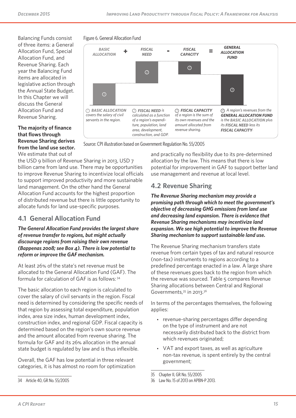*FISCAL* 

Balancing Funds consist of three items: a General Allocation Fund, Special Allocation Fund, and Revenue Sharing. Each year the Balancing Fund items are allocated in legislative action through the Annual State Budget. In this Chapter we will discuss the General Allocation Fund and Revenue Sharing.

#### **The majority of finance that flows through Revenue Sharing derives from the land use sector.** We estimate that out of



Source: CPI illustration based on Government Regulation No. 55/ 2005

*FISCAL* 

Figure 6. General Allocation Fund

*BASIC* 

the USD 9 billion of Revenue Sharing in 2013, USD 7 billion came from land use. There may be opportunities to improve Revenue Sharing to incentivize local officials to support improved productivity and more sustainable land management. On the other hand the General Allocation Fund accounts for the highest proportion of distributed revenue but there is little opportunity to allocate funds for land use-specific purposes.

# **4.1 General Allocation Fund**

*The General Allocation Fund provides the largest share of revenue transfer to regions, but might actually discourage regions from raising their own revenue (Bappenas 2008; see Box 4). There is low potential to reform or improve the GAF mechanism.* 

At least 26% of the state's net revenue must be allocated to the General Allocation Fund (GAF). The formula for calculation of GAF is as follows: <sup>34</sup>

The basic allocation to each region is calculated to cover the salary of civil servants in the region. Fiscal need is determined by considering the specific needs of that region by assessing total expenditure, population index, area size index, human development index, construction index, and regional GDP. Fiscal capacity is determined based on the region's own source revenue and the amount allocated from revenue sharing. The formula for GAF and its 26% allocation in the annual state budget is regulated by law and is thus inflexible.

Overall, the GAF has low potential in three relevant categories, it is has almost no room for optimization and practically no flexibility due to its pre-determined allocation by the law. This means that there is low potential for improvement in GAF to support better land use management and revenue at local level.

*GENERAL ALLOCATION* 

# **4.2 Revenue Sharing**

*The Revenue Sharing mechanism may provide a promising path through which to meet the government's objective of decreasing GHG emissions from land use and decreasing land expansion. There is evidence that Revenue Sharing mechanisms may incentivize land expansion. We see high potential to improve the Revenue Sharing mechanism to support sustainable land use.*

The Revenue Sharing mechanism transfers state revenue from certain types of tax and natural resource (non-tax) instruments to regions according to a predefined percentage enacted in a law. A large share of these revenues goes back to the region from which the revenue was sourced. Table 5 compares Revenue Sharing allocations between Central and Regional Governments, 35 in 2013.<sup>36</sup>

In terms of the percentages themselves, the following applies:

- revenue-sharing percentages differ depending on the type of instrument and are not necessarily distributed back to the district from which revenues originated;
- VAT and export taxes, as well as agriculture non-tax revenue, is spent entirely by the central government;

<sup>35</sup> Chapter II, GR No. 55/2005

<sup>36</sup> Law No. 15 of 2013 on APBN-P 2013.

<sup>34</sup> Article 40, GR No. 55/2005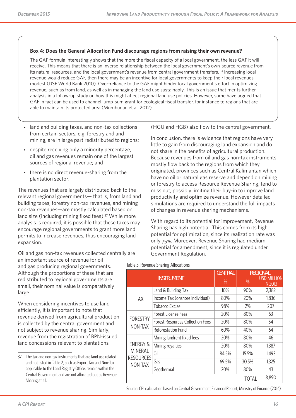#### **Box 4: Does the General Allocation Fund discourage regions from raising their own revenue?**

The GAF formula interestingly shows that the more the fiscal capacity of a local government, the less GAF it will receive. This means that there is an inverse relationship between the local government's own-source revenue from its natural resources, and the local government's revenue from central government transfers. If increasing local revenue would reduce GAF, then there may be an incentive for local governments to keep their local revenues modest (DSF World Bank 2010). Over-reliance to the GAF might hinder local government's effort in optimizing revenue, such as from land, as well as in managing the land use sustainably. This is an issue that merits further analysis in a follow-up study on how this might affect regional land use policies. However, some have argued that GAF in fact can be used to channel lump-sum grant for ecological fiscal transfer, for instance to regions that are able to maintain its protected area (Mumbunan et al. 2012).

- land and building taxes, and non-tax collections from certain sectors, e.g. forestry and and mining, are in large part redistributed to regions;
- despite receiving only a minority percentage, oil and gas revenues remain one of the largest sources of regional revenue; and
- there is no direct revenue-sharing from the plantation sector.

The revenues that are largely distributed back to the relevant regional governments— that is, from land and building taxes, forestry non-tax revenues, and mining non-tax revenues—are mostly calculated based on land size (including mining fixed fees).<sup>37</sup> While more analysis is required, it is possible that these taxes may encourage regional governments to grant more land permits to increase revenues, thus encouraging land expansion.

Oil and gas non-tax revenues collected centrally are an important source of revenue for oil and gas producing regional governments. Although the proportions of these that are redistributed to regional governments are small, their nominal value is comparatively large.

When considering incentives to use land efficiently, it is important to note that revenue derived from agricultural production is collected by the central government and not subject to revenue sharing. Similarly, revenue from the registration of BPN-issued land concessions relevant to plantations

(HGU and HGB) also flow to the central government.

In conclusion, there is evidence that regions have very little to gain from discouraging land expansion and do not share in the benefits of agricultural production. Because revenues from oil and gas non-tax instruments mostly flow back to the regions from which they originated, provinces such as Central Kalimantan which have no oil or natural gas reserve and depend on mining or forestry to access Resource Revenue Sharing, tend to miss out, possibly limiting their buy-in to improve land productivity and optimize revenue. However detailed simulations are required to understand the full impacts of changes in revenue sharing mechanisms.

With regard to its potential for improvement, Revenue Sharing has high potential. This comes from its high potential for optimization, since its realization rate was only 75%. Moreover, Revenue Sharing had medium potential for amendment, since it is regulated under Government Regulation.

#### Table 5. Revenue Sharing Allocations

|                                               |                                         | <b>CENTRAL</b> | <b>REGIONAL</b> |                                |  |
|-----------------------------------------------|-----------------------------------------|----------------|-----------------|--------------------------------|--|
|                                               | <b>INSTRUMENT</b>                       | $\%$           | %               | iusd Million<br><b>IN 2013</b> |  |
|                                               | Land & Building Tax                     | 10%            | 90%             | 2,382                          |  |
| <b>TAX</b>                                    | Income Tax (onshore individual)         | 80%            | 20%             | 1,836                          |  |
|                                               | Tobacco Excise                          | 98%            | 2%              | 207                            |  |
|                                               | Forest License Fees                     | 20%            | 80%             | 53                             |  |
| <b>FORESTRY</b>                               | <b>Forest Resources Collection Fees</b> | 20%            | 80%             | 54                             |  |
| NON-TAX                                       | Reforestation Fund                      | 60%            | 40%             | 64                             |  |
|                                               | Mining landrent fixed fees              | 20%            | 80%             | 46                             |  |
| <b>ENERGY &amp;</b>                           | Mining royalties                        | 20%            | 80%             | 1,387                          |  |
| <b>MINERAL</b><br><b>RESOURCES</b><br>NON-TAX | 0il                                     | 84.5%          | 15.5%           | 1,493                          |  |
|                                               | Gas                                     | 69.5%          | 30.5%           | 1,325                          |  |
|                                               | Geothermal                              | 20%            | 80%             | 43                             |  |
|                                               |                                         |                | <b>TOTAL</b>    | 8,890                          |  |

Source: CPI calculation based on Central Government Financial Report, Ministry of Finance (2014)

<sup>37</sup> The tax and non-tax instruments that are land use related and not listed in Table 2, such as Export Tax and Non-Tax applicable to the Land Registry Office, remain within the Central Government and are not allocated out as Revenue Sharing at all.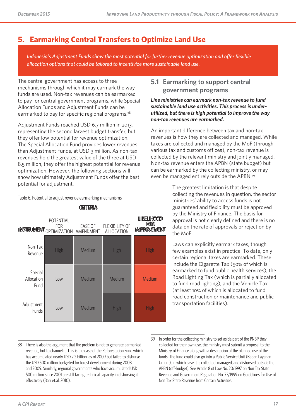# **5. Earmarking Central Transfers to Optimize Land Use**

*Indonesia's Adjustment Funds show the most potential for further revenue optimization and offer flexible allocation options that could be tailored to incentivize more sustainable land use.*

The central government has access to three mechanisms through which it may earmark the way funds are used. Non-tax revenues can be earmarked to pay for central government programs, while Special Allocation Funds and Adjustment Funds can be earmarked to pay for specific regional programs.<sup>38</sup>

Adjustment Funds reached USD 6.7 million in 2013, representing the second largest budget transfer, but they offer low potential for revenue optimization. The Special Allocation Fund provides lower revenues than Adjustment Funds, at USD 3 million. As non-tax revenues hold the greatest value of the three at USD 8.5 million, they offer the highest potential for revenue optimization. However, the following sections will show how ultimately Adjustment Funds offer the best potential for adjustment.

#### Table 6. Potential to adjust revenue earmarking mechanisms

|                               | <b>POTENTIAL</b><br><b>FOR</b><br><b>INSTRUMENT</b> OPTIMIZATION AMENDMENT | <b>EASE OF</b> | <b>FLEXIBILITY OF</b><br><b>ALLOCATION</b> | <b>LIKELIHOOD</b><br><b>FOR</b><br><b>IMPROVEMENT</b> |
|-------------------------------|----------------------------------------------------------------------------|----------------|--------------------------------------------|-------------------------------------------------------|
| Non-Tax<br>Revenue            | <b>High</b>                                                                | Medium         | <b>High</b>                                | High                                                  |
| Special<br>Allocation<br>Fund | Low                                                                        | Medium         | Medium                                     | Medium                                                |
| Adjustment<br>Funds           | Low                                                                        | Medium         | <b>High</b>                                | High                                                  |

#### **CRITERIA**

### **5.1 Earmarking to support central government programs**

*Line ministries can earmark non-tax revenue to fund sustainable land use activities. This process is underutilized, but there is high potential to improve the way non-tax revenues are earmarked.* 

An important difference between tax and non-tax revenues is how they are collected and managed. While taxes are collected and managed by the MoF (through various tax and customs offices), non-tax revenue is collected by the relevant ministry and jointly managed. Non-tax revenue enters the APBN (state budget) but can be earmarked by the collecting ministry, or may even be managed entirely outside the APBN.39

> The greatest limitation is that despite collecting the revenues in question, the sector ministries' ability to access funds is not guaranteed and flexibility must be approved by the Ministry of Finance. The basis for approval is not clearly defined and there is no data on the rate of approvals or rejection by the MoF.

> Laws can explicitly earmark taxes, though few examples exist in practice. To date, only certain regional taxes are earmarked. These include the Cigarette Tax (50% of which is earmarked to fund public health services), the Road Lighting Tax (which is partially allocated to fund road lighting), and the Vehicle Tax (at least 10% of which is allocated to fund road construction or maintenance and public transportation facilities).

<sup>38</sup> There is also the argument that the problem is not to generate earmarked revenue, but to channel it. This is the case of the Reforestation Fund which has accumulated nearly USD 2.2 billion, as of 2009 but failed to disburse the USD 500 million budgeted for forest development during 2008 and 2009. Similarly, regional governments who have accumulated USD 500 million since 2001 are still facing technical capacity in disbursing it effectively (Barr et.al. 2010).

<sup>39</sup> In order for the collecting ministry to set aside part of the PNBP they collected for their own use, the ministry must submit a proposal to the Ministry of Finance along with a description of the planned use of the funds. The fund could also go into a Public Service Unit (Badan Layanan Umum), in which case it is collected, managed, and disbursed outside the APBN (off-budget). See Article 8 of Law No. 20/1997 on Non Tax State Revenue and Government Regulation No. 73/1999 on Guidelines for Use of Non Tax State Revenue from Certain Activities.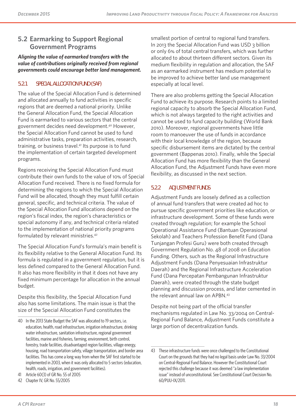### **5.2 Earmarking to Support Regional Government Programs**

*Aligning the value of earmarked transfers with the value of contributions originally received from regional governments could encourage better land management.* 

### **5.2.1 SPECIAL ALLOCATION FUND (SAF)**

The value of the Special Allocation Fund is determined and allocated annually to fund activities in specific regions that are deemed a national priority. Unlike the General Allocation Fund, the Special Allocation Fund is earmarked to various sectors that the central government decides need development.40 However, the Special Allocation Fund cannot be used to fund administrative tasks, preparation activities, research, training, or business travel.41 Its purpose is to fund the implementation of certain targeted development programs.

Regions receiving the Special Allocation Fund must contribute their own funds to the value of 10% of Special Allocation Fund received. There is no fixed formula for determining the regions to which the Special Allocation Fund will be allocated, though they must fulfill certain general, specific, and technical criteria. The value of the Special Allocation Fund allocations depend on the region's fiscal index, the region's characteristics or special autonomy if any, and technical criteria related to the implementation of national priority programs formulated by relevant ministries.42

The Special Allocation Fund's formula's main benefit is its flexibility relative to the General Allocation Fund. Its formula is regulated in a government regulation, but it is less defined compared to the General Allocation Fund. It also has more flexibility in that it does not have any fixed minimum percentage for allocation in the annual budget.

Despite this flexibility, the Special Allocation Fund also has some limitations. The main issue is that the size of the Special Allocation Fund constitutes the

smallest portion of central to regional fund transfers. In 2013 the Special Allocation Fund was USD 3 billion or only 6% of total central transfers, which was further allocated to about thirteen different sectors. Given its medium flexibility in regulation and allocation, the SAF as an earmarked instrument has medium potential to be improved to achieve better land use management especially at local level.

There are also problems getting the Special Allocation Fund to achieve its purpose. Research points to a limited regional capacity to absorb the Special Allocation Fund, which is not always targeted to the right activities and cannot be used to fund capacity building (World Bank 2010). Moreover, regional governments have little room to manoeuver the use of funds in accordance with their local knowledge of the region, because specific disbursement items are dictated by the central government (Bappenas 2010). Finally, while the Special Allocation Fund has more flexibility than the General Allocation Fund, the Adjustment Funds have even more flexibility, as discussed in the next section.

### **5.2.2 ADJUSTMENT FUNDS**

Adjustment Funds are loosely defined as a collection of annual fund transfers that were created ad hoc to pursue specific government priorities like education, or infrastructure development. Some of these funds were created through regulation; for example the School Operational Assistance Fund (Bantuan Operasional Sekolah) and Teachers Profession Benefit Fund (Dana Tunjangan Profesi Guru) were both created through Government Regulation No. 48 of 2008 on Education Funding. Others, such as the Regional Infrastructure Adjustment Funds (Dana Penyesuaian Infrastruktur Daerah) and the Regional Infrastructure Acceleration Fund (Dana Percepatan Pembangunan Infrastruktur Daerah), were created through the state budget planning and discussion process, and later cemented in the relevant annual law on APBN.<sup>43</sup>

Despite not being part of the official transfer mechanisms regulated in Law No. 33/2004 on Central-Regional Fund Balance, Adjustment Funds constitute a large portion of decentralization funds.

<sup>40</sup> In the 2013 State Budget the SAF was allocated to 19 sectors, i.e. education, health, road infrastructure, irrigation infrastructure, drinking water infrastructure, sanitation infrastructure, regional government facilities, marine and fisheries, farming, environment, birth control, forestry, trade facilities, disadvantaged region facilities, village energy, housing, road transportation safety, village transportation, and border area facilities. This has come a long way from when the SAF first started to be implemented in 2003, when it was only allocated to 5 sectors (education, health, roads, irrigation, and government facilities).

<sup>41</sup> Article 60(3) of GR No. 55 of 2005

<sup>42</sup> Chapter IV, GR No. 55/2005

<sup>43</sup> These infrastructure funds were once challenged to the Constitutional Court on the grounds that they had no legal basis under Law No. 33/2004 on Central-Regional Fund Balance. However the Constitutional Court rejected this challenge because it was deemed "a law implementation issue" instead of unconstitutional. See Constitutional Court Decision No. 60/PUU-IX/2011.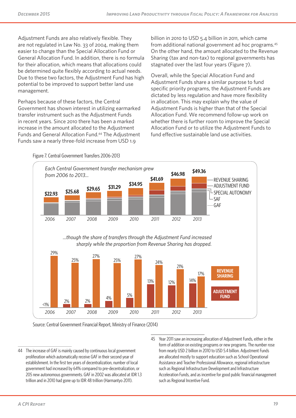Adjustment Funds are also relatively flexible. They are not regulated in Law No. 33 of 2004, making them easier to change than the Special Allocation Fund or General Allocation Fund. In addition, there is no formula for their allocation, which means that allocations could be determined quite flexibly according to actual needs. Due to these two factors, the Adjustment Fund has high potential to be improved to support better land use management.

Perhaps because of these factors, the Central Government has shown interest in utilizing earmarked transfer instrument such as the Adjustment Funds in recent years. Since 2010 there has been a marked increase in the amount allocated to the Adjustment Funds and General Allocation Fund.44 The Adjustment Funds saw a nearly three-fold increase from USD 1.9

billion in 2010 to USD 5.4 billion in 2011, which came from additional national government ad hoc programs.45 On the other hand, the amount allocated to the Revenue Sharing (tax and non-tax) to regional governments has stagnated over the last four years (Figure 7).

Overall, while the Special Allocation Fund and Adjustment Funds share a similar purpose to fund specific priority programs, the Adjustment Funds are dictated by less regulation and have more flexibility in allocation. This may explain why the value of Adjustment Funds is higher than that of the Special Allocation Fund. We recommend follow-up work on whether there is further room to improve the Special Allocation Fund or to utilize the Adjustment Funds to fund effective sustainable land use activities.



Source: Central Government Financial Report, Ministry of Finance (2014)

45 Year 2011 saw an increasing allocation of Adjustment Funds, either in the form of addition on existing programs or new programs. The number rose from nearly USD 2 billion in 2010 to USD 5.4 billion. Adjustment Funds are allocated mostly to support education such as School Operational Assistance and Teacher Professional Allowance, regional infrastructure such as Regional Infrastructure Development and Infrastructure Acceleration Funds, and as incentive for good public financial management such as Regional Incentive Fund.

Figure 7. Central Government Transfers 2006-2013

<sup>44</sup> The increase of GAF is mainly caused by continuous local government proliferation which automatically receive GAF in their second year of establishment. In the first ten years of decentralization, number of local government had increased by 64% compared to pre-decentralization, or 205 new autonomous governments. GAF in 2002 was allocated at IDR 1.3 trillion and in 2010 had gone up to IDR 48 trillion (Harmantyo 2011).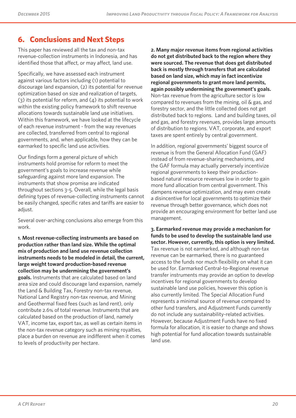# **6. Conclusions and Next Steps**

This paper has reviewed all the tax and non-tax revenue-collection instruments in Indonesia, and has identified those that affect, or may affect, land use.

Specifically, we have assessed each instrument against various factors including (1) potential to discourage land expansion, (2) its potential for revenue optimization based on size and realization of targets,  $(3)$  its potential for reform, and  $(4)$  its potential to work within the existing policy framework to shift revenue allocations towards sustainable land use initiatives. Within this framework, we have looked at the lifecycle of each revenue instrument - from the way revenues are collected, transferred from central to regional governments, and, when applicable, how they can be earmarked to specific land use activities.

Our findings form a general picture of which instruments hold promise for reform to meet the government's goals to increase revenue while safeguarding against more land expansion. The instruments that show promise are indicated throughout sections 3-5. Overall, while the legal basis defining types of revenue-collecting instruments cannot be easily changed, specific rates and tariffs are easier to adjust.

Several over-arching conclusions also emerge from this work.

**1. Most revenue-collecting instruments are based on production rather than land size. While the optimal mix of production and land use revenue collection instruments needs to be modeled in detail, the current, large weight toward production-based revenue collection may be undermining the government's goals.** Instruments that are calculated based on land area size and could discourage land expansion, namely the Land & Building Tax, Forestry non-tax revenue, National Land Registry non-tax revenue, and Mining and Geothermal fixed fees (such as land rent), only contribute 2.6% of total revenue. Instruments that are calculated based on the production of land, namely VAT, income tax, export tax, as well as certain items in the non-tax revenue category such as mining royalties, place a burden on revenue are indifferent when it comes to levels of productivity per hectare.

**2. Many major revenue items from regional activities do not get distributed back to the region where they were sourced. The revenue that does get distributed back is mostly through transfers that are calculated based on land size, which may in fact incentivize regional governments to grant more land permits, again possibly undermining the government's goals.** Non-tax revenue from the agriculture sector is low compared to revenues from the mining, oil & gas, and forestry sector, and the little collected does not get distributed back to regions. Land and building taxes, oil and gas, and forestry revenues, provides large amounts of distribution to regions. VAT, corporate, and export taxes are spent entirely by central government.

In addition, regional governments' biggest source of revenue is from the General Allocation Fund (GAF) instead of from revenue-sharing mechanisms, and the GAF formula may actually perversely incentivize regional governments to keep their productionbased natural resource revenues low in order to gain more fund allocation from central government. This dampens revenue optimization, and may even create a disincentive for local governments to optimize their revenue through better governance, which does not provide an encouraging environment for better land use management.

**3. Earmarked revenue may provide a mechanism for funds to be used to develop the sustainable land use sector. However, currently, this option is very limited.**  Tax revenue is not earmarked, and although non-tax revenue can be earmarked, there is no guaranteed access to the funds nor much flexibility on what it can be used for. Earmarked Central-to-Regional revenue transfer instruments may provide an option to develop incentives for regional governments to develop sustainable land use policies, however this option is also currently limited. The Special Allocation Fund represents a minimal source of revenue compared to other fund transfers, and Adjustment Funds currently do not include any sustainability-related activities. However, because Adjustment Funds have no fixed formula for allocation, it is easier to change and shows high potential for fund allocation towards sustainable land use.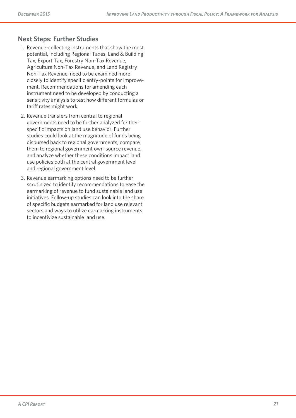### **Next Steps: Further Studies**

- 1. Revenue-collecting instruments that show the most potential, including Regional Taxes, Land & Building Tax, Export Tax, Forestry Non-Tax Revenue, Agriculture Non-Tax Revenue, and Land Registry Non-Tax Revenue, need to be examined more closely to identify specific entry-points for improvement. Recommendations for amending each instrument need to be developed by conducting a sensitivity analysis to test how different formulas or tariff rates might work.
- 2. Revenue transfers from central to regional governments need to be further analyzed for their specific impacts on land use behavior. Further studies could look at the magnitude of funds being disbursed back to regional governments, compare them to regional government own-source revenue, and analyze whether these conditions impact land use policies both at the central government level and regional government level.
- 3. Revenue earmarking options need to be further scrutinized to identify recommendations to ease the earmarking of revenue to fund sustainable land use initiatives. Follow-up studies can look into the share of specific budgets earmarked for land use relevant sectors and ways to utilize earmarking instruments to incentivize sustainable land use.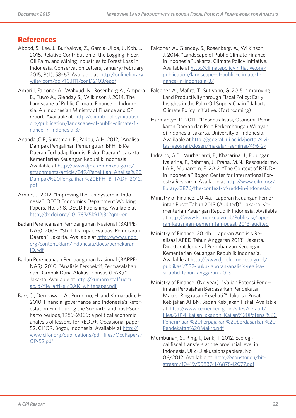# **References**

- Abood, S., Lee, J., Burivalova, Z., Garcia-Ulloa, J., Koh, L. 2015. Relative Contribution of the Logging, Fiber, Oil Palm, and Mining Industries to Forest Loss in Indonesia. Conservation Letters, January/February 2015, 8(1), 58–67. Available at: http://onlinelibrary. wiley.com/doi/10.1111/conl.12103/epdf
- Ampri I, Falconer A., Wahyudi N., Rosenberg A., Ampera B., Tuwo A., Glenday S., Wilkinson J. 2014. The Landscape of Public Climate Finance in Indonesia. An Indonesian Ministry of Finance and CPI report. Available at: http://climatepolicyinitiative. org/publication/landscape-of-public-climate-finance-in-indonesia-3/
- Ananda ,C.F., Suratman, E., Paddu, A.H. 2012, "Analisa Dampak Pengalihan Pemungutan BPHTB Ke Daerah Terhadap Kondisi Fiskal Daerah". Jakarta. Kementerian Keuangan Republik Indonesia. Available at http://www.djpk.kemenkeu.go.id/ attachments/article/249/Penelitian\_Analisa%20 Dampak%20Pengalihan%20BPHTB\_TADF\_2012. pdf
- Arnold, J. 2012. "Improving the Tax System in Indonesia". OECD Economics Department Working Papers, No. 998, OECD Publishing. Available at http://dx.doi.org/10.1787/5k912j3r2qmr-en
- Badan Perencanaan Pembangunan Nasional (BAPPE-NAS). 2008. "Studi Dampak Evaluasi Pemekaran Daerah". Jakarta. Available at http://www.undp. org/content/dam/indonesia/docs/pemekaran\_ ID.pdf
- Badan Perencanaan Pembangunan Nasional (BAPPE-NAS). 2010. "Analisis Perspektif, Permasalahan dan Dampak Dana Alokasi Khusus (DAK)." Jakarta. Available at http://kumoro.staff.ugm. ac.id/file\_artikel/DAK\_whitepaper.pdf
- Barr, C., Dermawan, A., Purnomo, H. and Komarudin, H. 2010. Financial governance and Indonesia's Reforestation Fund during the Soeharto and post-Soeharto periods, 1989–2009: a political economic analysis of lessons for REDD+. Occasional paper 52. CIFOR, Bogor, Indonesia. Available at http:// www.cifor.org/publications/pdf\_files/OccPapers/ OP-52.pdf
- Falconer, A., Glenday, S., Rosenberg. A., Wilkinson, J. 2014. "Landscape of Public Climate Finance in Indonesia." Jakarta. Climate Policy Initiative. Available at http://climatepolicyinitiative.org/ publication/landscape-of-public-climate-finance-in-indonesia-3/
- Falconer, A., Mafira, T., Sutiyono, G. 2015. "Improving Land Productivity through Fiscal Policy: Early Insights in the Palm Oil Supply Chain." Jakarta. Climate Policy Initiative. (Forthcoming)
- Harmantyo, D. 2011. "Desentralisasi, Otonomi, Pemekaran Daerah dan Pola Perkembangan Wilayah di Indonesia. Jakarta. University of Indonesia. Avalilable at http://geografi.ui.ac.id/portal/sivitas-geografi/dosen/makalah-seminar/496-2/
- Indrarto, G.B., Murharjanti, P., Khatarina, J., Pulungan, I., Ivalerina, F., Rahman, J., Prana, M.N., Resosudarmo, I.A.P., Muharrom, E. 2012. "The Context of REDD+ in Indonesia." Bogor. Center for International Forestry Research. Available at http://www.cifor.org/ library/3876/the-context-of-redd-in-indonesia/
- Ministry of Finance. 2014a. "Laporan Keuangan Pemerintah Pusat Tahun 2013 (Audited)". Jakarta. Kementerian Keuangan Republik Indonesia. Available at http://www.kemenkeu.go.id/Publikasi/laporan-keuangan-pemerintah-pusat-2013-audited
- Ministry of Finance. 2014b. "Laporan Analisis Realisasi APBD Tahun Anggaran 2013". Jakarta. Direktorat Jenderal Perimbangan Keuangan, Kementerian Keuangan Republik Indonesia. Available at http://www.djpk.kemenkeu.go.id/ publikasi/532-buku-laporan-analisis-realisasi-apbd-tahun-anggaran-2013
- Ministry of Finance. (No year). "Kajian Potensi Penerimaan Perpajakan Berdasarkan Pendekatan Makro: Ringkasan Eksekutif". Jakarta. Pusat Kebijakan APBN, Badan Kebijakan Fiskal. Available at: http://www.kemenkeu.go.id/sites/default/ files/2014\_kajian\_pkapbn\_Kajian%20Potensi%20 Penerimaan%20Perpajakan%20berdasarkan%20 Pendekatan%20Makro.pdf
- Mumbunan, S., Ring, I., Lenk, T. 2012. Ecological fiscal transfers at the provincial level in Indonesia, UFZ-Diskussionspapiere, No. 06/2012. Available at: http://econstor.eu/bitstream/10419/55837/1/687842077.pdf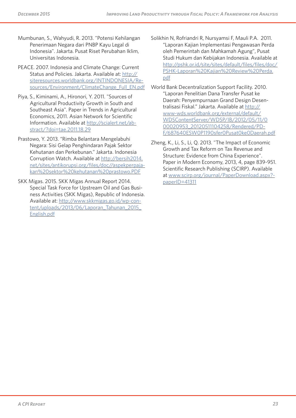- Mumbunan, S., Wahyudi, R. 2013. "Potensi Kehilangan Penerimaan Negara dari PNBP Kayu Legal di Indonesia". Jakarta. Pusat Riset Perubahan Iklim, Universitas Indonesia.
- PEACE. 2007. Indonesia and Climate Change: Current Status and Policies. Jakarta. Available at: http:// siteresources.worldbank.org/INTINDONESIA/Resources/Environment/ClimateChange\_Full\_EN.pdf
- Piya, S., Kiminami, A., Hironori, Y. 2011. "Sources of Agricultural Productivity Growth in South and Southeast Asia". Paper in Trends in Agricultural Economics, 2011. Asian Network for Scientific Information. Available at http://scialert.net/abstract/?doi=tae.2011.18.29
- Prastowo, Y. 2013. "Rimba Belantara Mengelabuhi Negara: Sisi Gelap Penghindaran Pajak Sektor Kehutanan dan Perkebunan." Jakarta. Indonesia Corruption Watch. Available at http://bersih2014. net/sites/antikorupsi.org/files/doc//aspekperpajakan%20sektor%20kehutanan%20prastowo.PDF
- SKK Migas. 2015. SKK Migas Annual Report 2014. Special Task Force for Upstream Oil and Gas Business Activities (SKK Migas), Republic of Indonesia. Available at: http://www.skkmigas.go.id/wp-content/uploads/2013/06/Laporan\_Tahunan\_2015\_ English.pdf
- Solikhin N, Rofriandri R, Nursyamsi F, Mauli P.A. 2011. "Laporan Kajian Implementasi Pengawasan Perda oleh Pemerintah dan Mahkamah Agung", Pusat Studi Hukum dan Kebijakan Indonesia. Available at http://pshk.or.id/site/sites/default/files/files/doc/ PSHK-Laporan%20Kajian%20Review%20Perda. pdf
- World Bank Decentralization Support Facility. 2010. "Laporan Penelitian Dana Transfer Pusat ke Daerah: Penyempurnaan Grand Design Desentralisasi Fiskal." Jakarta. Available at http:// www-wds.worldbank.org/external/default/ WDSContentServer/WDSP/IB/2012/05/11/0 00020953\_20120511104258/Rendered/PD-F/687640ESW0P1190sfer0Pusat0ke0Daerah.pdf
- Zheng, K., Li, S., Li, Q. 2013. "The Impact of Economic Growth and Tax Reform on Tax Revenue and Structure: Evidence from China Experience". Paper in Modern Economy, 2013, 4, page 839-951. Scientific Research Publishing (SCIRP). Available at www.scirp.org/journal/PaperDownload.aspx? paperID=41311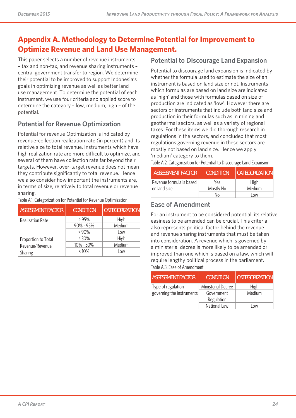# **Appendix A. Methodology to Determine Potential for Improvement to Optimize Revenue and Land Use Management.**

This paper selects a number of revenue instruments – tax and non-tax, and revenue sharing instruments – central government transfer to region. We determine their potential to be improved to support Indonesia's goals in optimizing revenue as well as better land use management. To determine the potential of each instrument, we use four criteria and applied score to determine the category – low, medium, high – of the potential.

# **Potential for Revenue Optimization**

Potential for revenue Optimization is indicated by revenue-collection realization rate (in percent) and its relative size to total revenue. Instruments which have high realization rate are more difficult to optimize, and several of them have collection rate far beyond their targets. However, over-target revenue does not mean they contribute significantly to total revenue. Hence we also consider how important the instruments are, in terms of size, relatively to total revenue or revenue sharing.

Table A.1. Categorization for Potential for Revenue Optimization

| <b>ASSESSMENT FACTOR</b> | <b>CONDITION</b> | <b>CATEGORIZATION</b> |
|--------------------------|------------------|-----------------------|
| <b>Realization Rate</b>  | >95%             | High                  |
|                          | $90\% - 95\%$    | Medium                |
|                          | $< 90\%$         | Low                   |
| Proportion to Total      | > 30%            | High                  |
| Revenue/Revenue          | 10% - 30%        | Medium                |
| Sharing                  | $< 10\%$         | l ow                  |

### **Potential to Discourage Land Expansion**

Potential to discourage land expansion is indicated by whether the formula used to estimate the size of an instrument is based on land size or not. Instruments which formulas are based on land size are indicated as 'high' and those with formulas based on size of production are indicated as 'low'. However there are sectors or instruments that include both land size and production in their formulas such as in mining and geothermal sectors, as well as a variety of regional taxes. For these items we did thorough research in regulations in the sectors, and concluded that most regulations governing revenue in these sectors are mostly not based on land size. Hence we apply 'medium' category to them.

Table A.2. Categorization for Potential to Discourage Land Expansion

| <b>ASSESSMENT FACTOR</b> | <b>CONDITION</b> | <b>CATEGORIZATION</b> |
|--------------------------|------------------|-----------------------|
| Revenue formula is based | Yes              | High                  |
| on land size             | Mostly No        | Medium                |
|                          | N٥               | l ow                  |

### **Ease of Amendment**

For an instrument to be considered potential, its relative easiness to be amended can be crucial. This criteria also represents political factor behind the revenue and revenue sharing instruments that must be taken into consideration. A revenue which is governed by a ministerial decree is more likely to be amended or improved than one which is based on a law, which will require lengthy political process in the parliament. Table A.3. Ease of Amendment

| <b>ASSESSMENT FACTOR</b>  | <b>CONDITION</b>   | <b>CATEGORIZATION</b> |
|---------------------------|--------------------|-----------------------|
| Type of regulation        | Ministerial Decree | <b>High</b>           |
| governing the instruments | Government         | Medium                |
|                           | Regulation         |                       |
|                           | National Law       | l ow                  |